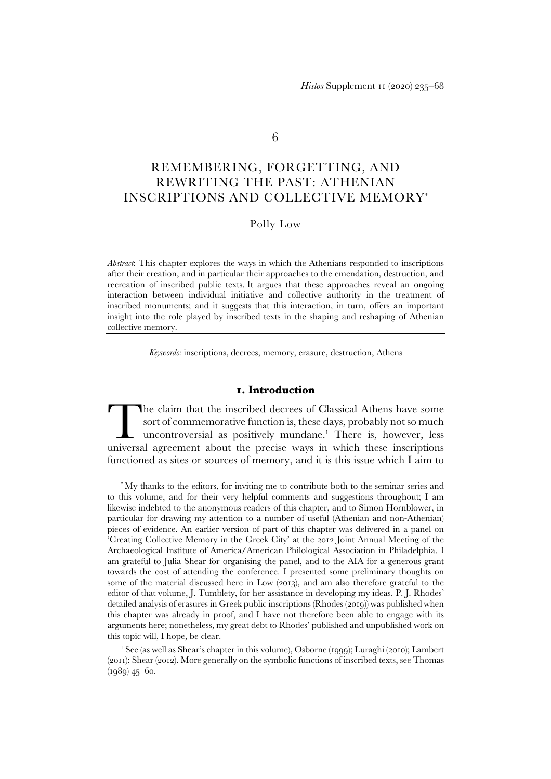6

# REMEMBERING, FORGETTING, AND REWRITING THE PAST: ATHENIAN INSCRIPTIONS AND COLLECTIVE MEMORY\*

Polly Low

*Abstract*: This chapter explores the ways in which the Athenians responded to inscriptions after their creation, and in particular their approaches to the emendation, destruction, and recreation of inscribed public texts. It argues that these approaches reveal an ongoing interaction between individual initiative and collective authority in the treatment of inscribed monuments; and it suggests that this interaction, in turn, offers an important insight into the role played by inscribed texts in the shaping and reshaping of Athenian collective memory.

*Keywords:* inscriptions, decrees, memory, erasure, destruction, Athens

### **1. Introduction**

he claim that the inscribed decrees of Classical Athens have some sort of commemorative function is, these days, probably not so much uncontroversial as positively mundane.<sup>1</sup> There is, however, less The claim that the inscribed decrees of Classical Athens have some sort of commemorative function is, these days, probably not so much uncontroversial as positively mundane.<sup>1</sup> There is, however, less universal agreement a functioned as sites or sources of memory, and it is this issue which I aim to

\* My thanks to the editors, for inviting me to contribute both to the seminar series and to this volume, and for their very helpful comments and suggestions throughout; I am likewise indebted to the anonymous readers of this chapter, and to Simon Hornblower, in particular for drawing my attention to a number of useful (Athenian and non-Athenian) pieces of evidence. An earlier version of part of this chapter was delivered in a panel on 'Creating Collective Memory in the Greek City' at the 2012 Joint Annual Meeting of the Archaeological Institute of America/American Philological Association in Philadelphia. I am grateful to Julia Shear for organising the panel, and to the AIA for a generous grant towards the cost of attending the conference. I presented some preliminary thoughts on some of the material discussed here in Low (2013), and am also therefore grateful to the editor of that volume, J. Tumblety, for her assistance in developing my ideas. P. J. Rhodes' detailed analysis of erasures in Greek public inscriptions (Rhodes (2019)) was published when this chapter was already in proof, and I have not therefore been able to engage with its arguments here; nonetheless, my great debt to Rhodes' published and unpublished work on this topic will, I hope, be clear.

1 See (as well as Shear's chapter in this volume), Osborne (1999); Luraghi (2010); Lambert (2011); Shear (2012). More generally on the symbolic functions of inscribed texts, see Thomas (1989) 45–60.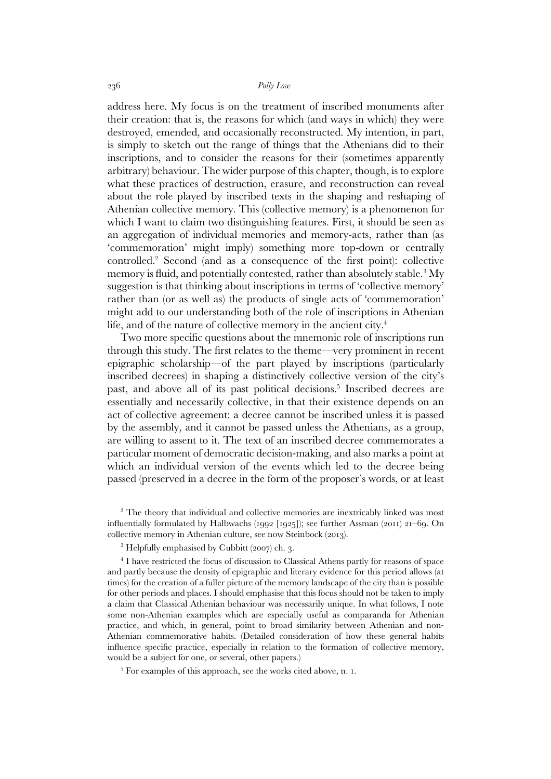address here. My focus is on the treatment of inscribed monuments after their creation: that is, the reasons for which (and ways in which) they were destroyed, emended, and occasionally reconstructed. My intention, in part, is simply to sketch out the range of things that the Athenians did to their inscriptions, and to consider the reasons for their (sometimes apparently arbitrary) behaviour. The wider purpose of this chapter, though, is to explore what these practices of destruction, erasure, and reconstruction can reveal about the role played by inscribed texts in the shaping and reshaping of Athenian collective memory. This (collective memory) is a phenomenon for which I want to claim two distinguishing features. First, it should be seen as an aggregation of individual memories and memory-acts, rather than (as 'commemoration' might imply) something more top-down or centrally controlled.<sup>2</sup> Second (and as a consequence of the first point): collective memory is fluid, and potentially contested, rather than absolutely stable.<sup>3</sup> My suggestion is that thinking about inscriptions in terms of 'collective memory' rather than (or as well as) the products of single acts of 'commemoration' might add to our understanding both of the role of inscriptions in Athenian life, and of the nature of collective memory in the ancient city.<sup>4</sup>

 Two more specific questions about the mnemonic role of inscriptions run through this study. The first relates to the theme—very prominent in recent epigraphic scholarship—of the part played by inscriptions (particularly inscribed decrees) in shaping a distinctively collective version of the city's past, and above all of its past political decisions. 5 Inscribed decrees are essentially and necessarily collective, in that their existence depends on an act of collective agreement: a decree cannot be inscribed unless it is passed by the assembly, and it cannot be passed unless the Athenians, as a group, are willing to assent to it. The text of an inscribed decree commemorates a particular moment of democratic decision-making, and also marks a point at which an individual version of the events which led to the decree being passed (preserved in a decree in the form of the proposer's words, or at least

<sup>2</sup> The theory that individual and collective memories are inextricably linked was most influentially formulated by Halbwachs (1992 [1925]); see further Assman (2011) 21–69. On collective memory in Athenian culture, see now Steinbock (2013).

3 Helpfully emphasised by Cubbitt (2007) ch. 3.

<sup>4</sup> I have restricted the focus of discussion to Classical Athens partly for reasons of space and partly because the density of epigraphic and literary evidence for this period allows (at times) for the creation of a fuller picture of the memory landscape of the city than is possible for other periods and places. I should emphasise that this focus should not be taken to imply a claim that Classical Athenian behaviour was necessarily unique. In what follows, I note some non-Athenian examples which are especially useful as comparanda for Athenian practice, and which, in general, point to broad similarity between Athenian and non-Athenian commemorative habits. (Detailed consideration of how these general habits influence specific practice, especially in relation to the formation of collective memory, would be a subject for one, or several, other papers.)

5 For examples of this approach, see the works cited above, n. 1.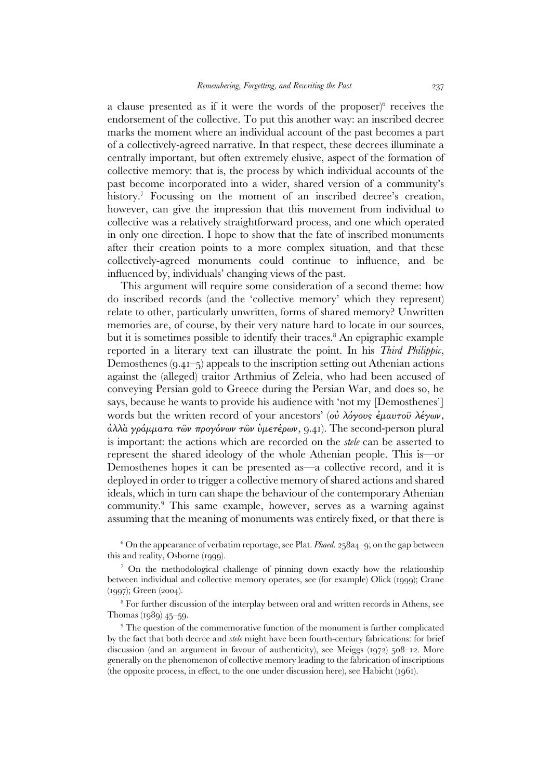a clause presented as if it were the words of the proposer) $6$  receives the endorsement of the collective. To put this another way: an inscribed decree marks the moment where an individual account of the past becomes a part of a collectively-agreed narrative. In that respect, these decrees illuminate a centrally important, but often extremely elusive, aspect of the formation of collective memory: that is, the process by which individual accounts of the past become incorporated into a wider, shared version of a community's history.<sup>7</sup> Focussing on the moment of an inscribed decree's creation, however, can give the impression that this movement from individual to collective was a relatively straightforward process, and one which operated in only one direction. I hope to show that the fate of inscribed monuments after their creation points to a more complex situation, and that these collectively-agreed monuments could continue to influence, and be influenced by, individuals' changing views of the past.

 This argument will require some consideration of a second theme: how do inscribed records (and the 'collective memory' which they represent) relate to other, particularly unwritten, forms of shared memory? Unwritten memories are, of course, by their very nature hard to locate in our sources, but it is sometimes possible to identify their traces.<sup>8</sup> An epigraphic example reported in a literary text can illustrate the point. In his *Third Philippic*, Demosthenes (9.41–5) appeals to the inscription setting out Athenian actions against the (alleged) traitor Arthmius of Zeleia, who had been accused of conveying Persian gold to Greece during the Persian War, and does so, he says, because he wants to provide his audience with 'not my [Demosthenes'] words but the written record of your ancestors' (ού λόγους έμαυτοῦ λέγων, ἀλλὰ γράµµατα τῶν προγόνων τῶν ὑµετέρων, 9.41). The second-person plural is important: the actions which are recorded on the *stele* can be asserted to represent the shared ideology of the whole Athenian people. This is—or Demosthenes hopes it can be presented as—a collective record, and it is deployed in order to trigger a collective memory of shared actions and shared ideals, which in turn can shape the behaviour of the contemporary Athenian community.<sup>9</sup> This same example, however, serves as a warning against assuming that the meaning of monuments was entirely fixed, or that there is

<sup>6</sup> On the appearance of verbatim reportage, see Plat. *Phaed*. 258a4–9; on the gap between this and reality, Osborne (1999).

<sup>7</sup> On the methodological challenge of pinning down exactly how the relationship between individual and collective memory operates, see (for example) Olick (1999); Crane (1997); Green (2004).

<sup>8</sup> For further discussion of the interplay between oral and written records in Athens, see Thomas (1989) 45–59.

<sup>9</sup> The question of the commemorative function of the monument is further complicated by the fact that both decree and *stele* might have been fourth-century fabrications: for brief discussion (and an argument in favour of authenticity), see Meiggs (1972) 508–12. More generally on the phenomenon of collective memory leading to the fabrication of inscriptions (the opposite process, in effect, to the one under discussion here), see Habicht (1961).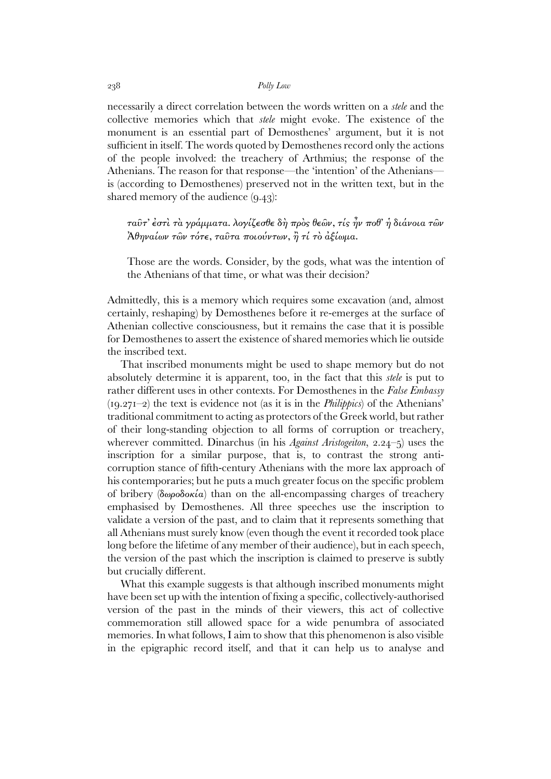necessarily a direct correlation between the words written on a *stele* and the collective memories which that *stele* might evoke. The existence of the monument is an essential part of Demosthenes' argument, but it is not sufficient in itself. The words quoted by Demosthenes record only the actions of the people involved: the treachery of Arthmius; the response of the Athenians. The reason for that response—the 'intention' of the Athenians is (according to Demosthenes) preserved not in the written text, but in the shared memory of the audience (9.43):

ταῦτ' ἐστὶ τὰ γράµµατα. λογίζεσθε δὴ πρὸς θεῶν, τίς ἦν ποθ' ἡ διάνοια τῶν Ἀθηναίων τῶν τότε, ταῦτα ποιούντων, ἢ τί τὸ ἀξίωµα.

Those are the words. Consider, by the gods, what was the intention of the Athenians of that time, or what was their decision?

Admittedly, this is a memory which requires some excavation (and, almost certainly, reshaping) by Demosthenes before it re-emerges at the surface of Athenian collective consciousness, but it remains the case that it is possible for Demosthenes to assert the existence of shared memories which lie outside the inscribed text.

 That inscribed monuments might be used to shape memory but do not absolutely determine it is apparent, too, in the fact that this *stele* is put to rather different uses in other contexts. For Demosthenes in the *False Embassy*  (19.271–2) the text is evidence not (as it is in the *Philippics*) of the Athenians' traditional commitment to acting as protectors of the Greek world, but rather of their long-standing objection to all forms of corruption or treachery, wherever committed. Dinarchus (in his *Against Aristogeiton*, 2.24–5) uses the inscription for a similar purpose, that is, to contrast the strong anticorruption stance of fifth-century Athenians with the more lax approach of his contemporaries; but he puts a much greater focus on the specific problem of bribery (δωροδοκία) than on the all-encompassing charges of treachery emphasised by Demosthenes. All three speeches use the inscription to validate a version of the past, and to claim that it represents something that all Athenians must surely know (even though the event it recorded took place long before the lifetime of any member of their audience), but in each speech, the version of the past which the inscription is claimed to preserve is subtly but crucially different.

 What this example suggests is that although inscribed monuments might have been set up with the intention of fixing a specific, collectively-authorised version of the past in the minds of their viewers, this act of collective commemoration still allowed space for a wide penumbra of associated memories. In what follows, I aim to show that this phenomenon is also visible in the epigraphic record itself, and that it can help us to analyse and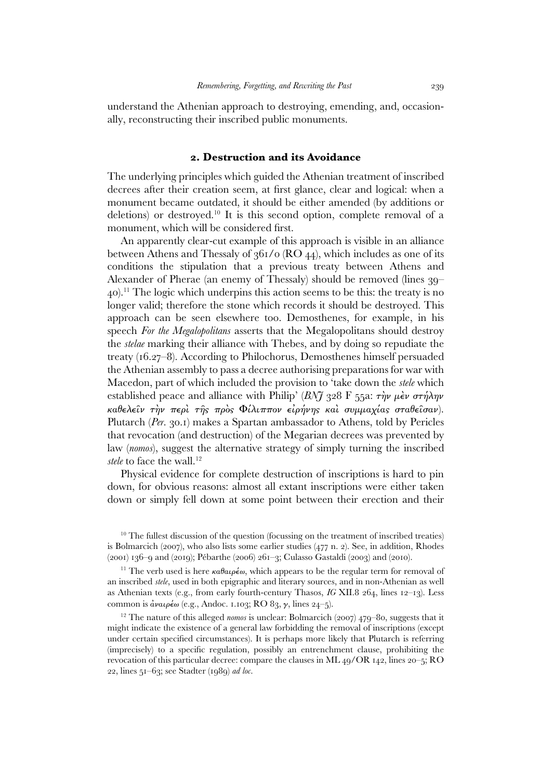understand the Athenian approach to destroying, emending, and, occasionally, reconstructing their inscribed public monuments.

## **2. Destruction and its Avoidance**

The underlying principles which guided the Athenian treatment of inscribed decrees after their creation seem, at first glance, clear and logical: when a monument became outdated, it should be either amended (by additions or deletions) or destroyed.<sup>10</sup> It is this second option, complete removal of a monument, which will be considered first.

 An apparently clear-cut example of this approach is visible in an alliance between Athens and Thessaly of  $361/0$  (RO 44), which includes as one of its conditions the stipulation that a previous treaty between Athens and Alexander of Pherae (an enemy of Thessaly) should be removed (lines 39– 40).<sup>11</sup> The logic which underpins this action seems to be this: the treaty is no longer valid; therefore the stone which records it should be destroyed. This approach can be seen elsewhere too. Demosthenes, for example, in his speech *For the Megalopolitans* asserts that the Megalopolitans should destroy the *stelae* marking their alliance with Thebes, and by doing so repudiate the treaty (16.27–8). According to Philochorus, Demosthenes himself persuaded the Athenian assembly to pass a decree authorising preparations for war with Macedon, part of which included the provision to 'take down the *stele* which established peace and alliance with Philip' (*BNJ* 328 F 55a: τὴν µὲν στήλην καθελεῖν τὴν περὶ τῆς πρὸς Φίλιππον εἰρήνης καὶ συµµαχίας σταθεῖσαν). Plutarch (*Per.* 30.1) makes a Spartan ambassador to Athens, told by Pericles that revocation (and destruction) of the Megarian decrees was prevented by law (*nomos*), suggest the alternative strategy of simply turning the inscribed stele to face the wall.<sup>12</sup>

 Physical evidence for complete destruction of inscriptions is hard to pin down, for obvious reasons: almost all extant inscriptions were either taken down or simply fell down at some point between their erection and their

 $10$  The fullest discussion of the question (focussing on the treatment of inscribed treaties) is Bolmarcich (2007), who also lists some earlier studies (477 n. 2). See, in addition, Rhodes (2001) 136–9 and (2019); Pébarthe (2006) 261–3; Culasso Gastaldi (2003) and (2010).

<sup>11</sup> The verb used is here  $\kappa a \theta a \mu \epsilon \omega$ , which appears to be the regular term for removal of an inscribed *stele*, used in both epigraphic and literary sources, and in non-Athenian as well as Athenian texts (e.g., from early fourth-century Thasos, *IG* XII.8 264, lines 12–13). Less common is  $\alpha$ ναιρέω (e.g., Andoc. 1.103; RO 83, γ, lines 24-5).

<sup>12</sup> The nature of this alleged *nomos* is unclear: Bolmarcich (2007) 479–80, suggests that it might indicate the existence of a general law forbidding the removal of inscriptions (except under certain specified circumstances). It is perhaps more likely that Plutarch is referring (imprecisely) to a specific regulation, possibly an entrenchment clause, prohibiting the revocation of this particular decree: compare the clauses in ML 49/OR 142, lines 20–5; RO 22, lines 51–63; see Stadter (1989) *ad loc.*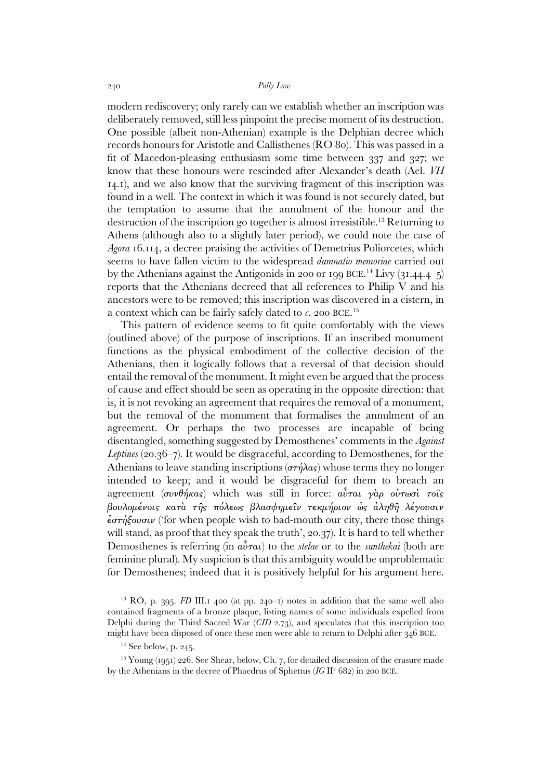modern rediscovery; only rarely can we establish whether an inscription was deliberately removed, still less pinpoint the precise moment of its destruction. One possible (albeit non-Athenian) example is the Delphian decree which records honours for Aristotle and Callisthenes (RO 80). This was passed in a fit of Macedon-pleasing enthusiasm some time between 337 and 327; we know that these honours were rescinded after Alexander's death (Ael. *VH* 14.1), and we also know that the surviving fragment of this inscription was found in a well. The context in which it was found is not securely dated, but the temptation to assume that the annulment of the honour and the destruction of the inscription go together is almost irresistible.<sup>13</sup> Returning to Athens (although also to a slightly later period), we could note the case of *Agora* 16.114, a decree praising the activities of Demetrius Poliorcetes, which seems to have fallen victim to the widespread *damnatio memoriae* carried out by the Athenians against the Antigonids in 200 or 199 BCE.<sup>14</sup> Livy  $(31.44.4-5)$ reports that the Athenians decreed that all references to Philip V and his ancestors were to be removed; this inscription was discovered in a cistern, in a context which can be fairly safely dated to *c*. 200 BCE.<sup>15</sup>

 This pattern of evidence seems to fit quite comfortably with the views (outlined above) of the purpose of inscriptions. If an inscribed monument functions as the physical embodiment of the collective decision of the Athenians, then it logically follows that a reversal of that decision should entail the removal of the monument. It might even be argued that the process of cause and effect should be seen as operating in the opposite direction: that is, it is not revoking an agreement that requires the removal of a monument, but the removal of the monument that formalises the annulment of an agreement. Or perhaps the two processes are incapable of being disentangled, something suggested by Demosthenes' comments in the *Against Leptines* (20.36–7). It would be disgraceful, according to Demosthenes, for the Athenians to leave standing inscriptions ( $\sigma\tau\eta\lambda\alpha s$ ) whose terms they no longer intended to keep; and it would be disgraceful for them to breach an agreement (συνθήκας) which was still in force:  $\alpha \hat{v} \tau \alpha \hat{v}$  γὰρ οὐτωσὶ τοῖς βουλοµένοις κατὰ τῆς πόλεως βλασφηµεῖν τεκµήριον ὡς ἀληθῆ λέγουσιν  $\epsilon \sigma \tau \eta \xi \omega \sigma \nu$  ('for when people wish to bad-mouth our city, there those things will stand, as proof that they speak the truth', 20.37). It is hard to tell whether Demosthenes is referring (in αὗται) to the *stelae* or to the *sunthekai* (both are feminine plural). My suspicion is that this ambiguity would be unproblematic for Demosthenes; indeed that it is positively helpful for his argument here.

<sup>&</sup>lt;sup>13</sup> RO, p. 395. *FD* III.1 400 (at pp. 240–1) notes in addition that the same well also contained fragments of a bronze plaque, listing names of some individuals expelled from Delphi during the Third Sacred War (*CID* 2.73), and speculates that this inscription too might have been disposed of once these men were able to return to Delphi after 346 BCE.

 $14$  See below, p. 245.

 $15$  Young (1951) 226. See Shear, below, Ch. 7, for detailed discussion of the erasure made by the Athenians in the decree of Phaedrus of Sphettus (IG II<sup>2</sup> 682) in 200 BCE.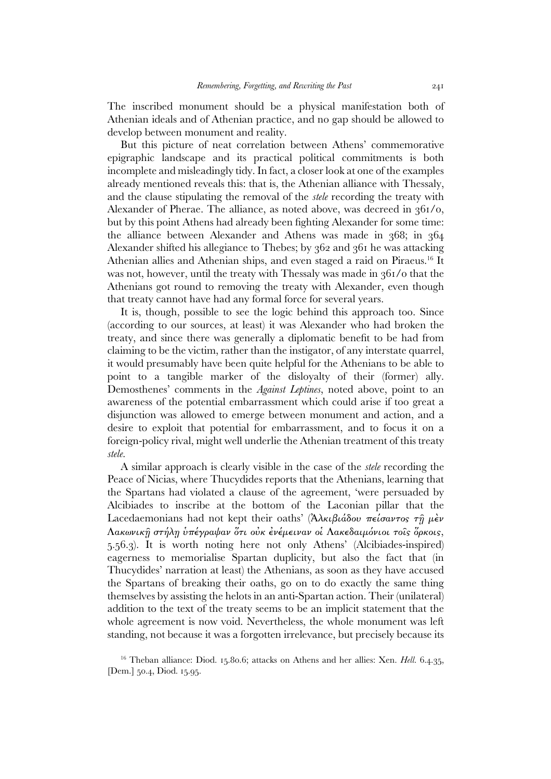The inscribed monument should be a physical manifestation both of Athenian ideals and of Athenian practice, and no gap should be allowed to develop between monument and reality.

 But this picture of neat correlation between Athens' commemorative epigraphic landscape and its practical political commitments is both incomplete and misleadingly tidy. In fact, a closer look at one of the examples already mentioned reveals this: that is, the Athenian alliance with Thessaly, and the clause stipulating the removal of the *stele* recording the treaty with Alexander of Pherae. The alliance, as noted above, was decreed in  $361/0$ , but by this point Athens had already been fighting Alexander for some time: the alliance between Alexander and Athens was made in 368; in 364 Alexander shifted his allegiance to Thebes; by 362 and 361 he was attacking Athenian allies and Athenian ships, and even staged a raid on Piraeus.<sup>16</sup> It was not, however, until the treaty with Thessaly was made in 361/0 that the Athenians got round to removing the treaty with Alexander, even though that treaty cannot have had any formal force for several years.

 It is, though, possible to see the logic behind this approach too. Since (according to our sources, at least) it was Alexander who had broken the treaty, and since there was generally a diplomatic benefit to be had from claiming to be the victim, rather than the instigator, of any interstate quarrel, it would presumably have been quite helpful for the Athenians to be able to point to a tangible marker of the disloyalty of their (former) ally. Demosthenes' comments in the *Against Leptines*, noted above, point to an awareness of the potential embarrassment which could arise if too great a disjunction was allowed to emerge between monument and action, and a desire to exploit that potential for embarrassment, and to focus it on a foreign-policy rival, might well underlie the Athenian treatment of this treaty *stele*.

 A similar approach is clearly visible in the case of the *stele* recording the Peace of Nicias, where Thucydides reports that the Athenians, learning that the Spartans had violated a clause of the agreement, 'were persuaded by Alcibiades to inscribe at the bottom of the Laconian pillar that the Lacedaemonians had not kept their oaths' (Ἀλκιβιάδου πείσαντος τη μέν Λακωνικῇ στήλῃ ὑπέγραψαν ὅτι οὐκ ἐνέµειναν οἱ Λακεδαιµόνιοι τοῖς ὅρκοις, 5.56.3). It is worth noting here not only Athens' (Alcibiades-inspired) eagerness to memorialise Spartan duplicity, but also the fact that (in Thucydides' narration at least) the Athenians, as soon as they have accused the Spartans of breaking their oaths, go on to do exactly the same thing themselves by assisting the helots in an anti-Spartan action. Their (unilateral) addition to the text of the treaty seems to be an implicit statement that the whole agreement is now void. Nevertheless, the whole monument was left standing, not because it was a forgotten irrelevance, but precisely because its

<sup>16</sup> Theban alliance: Diod. 15.80.6; attacks on Athens and her allies: Xen. *Hell.* 6.4.35, [Dem.] 50.4, Diod. 15.95.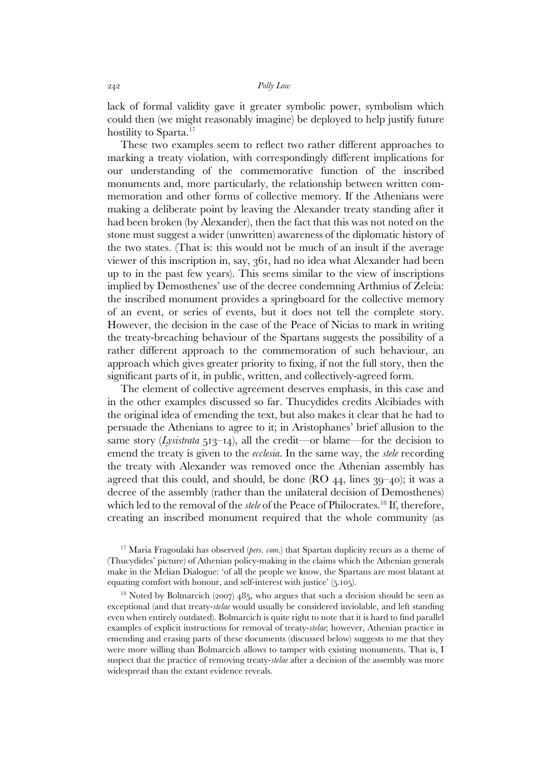lack of formal validity gave it greater symbolic power, symbolism which could then (we might reasonably imagine) be deployed to help justify future hostility to Sparta.<sup>17</sup>

 These two examples seem to reflect two rather different approaches to marking a treaty violation, with correspondingly different implications for our understanding of the commemorative function of the inscribed monuments and, more particularly, the relationship between written commemoration and other forms of collective memory. If the Athenians were making a deliberate point by leaving the Alexander treaty standing after it had been broken (by Alexander), then the fact that this was not noted on the stone must suggest a wider (unwritten) awareness of the diplomatic history of the two states. (That is: this would not be much of an insult if the average viewer of this inscription in, say, 361, had no idea what Alexander had been up to in the past few years). This seems similar to the view of inscriptions implied by Demosthenes' use of the decree condemning Arthmius of Zeleia: the inscribed monument provides a springboard for the collective memory of an event, or series of events, but it does not tell the complete story. However, the decision in the case of the Peace of Nicias to mark in writing the treaty-breaching behaviour of the Spartans suggests the possibility of a rather different approach to the commemoration of such behaviour, an approach which gives greater priority to fixing, if not the full story, then the significant parts of it, in public, written, and collectively-agreed form.

 The element of collective agreement deserves emphasis, in this case and in the other examples discussed so far. Thucydides credits Alcibiades with the original idea of emending the text, but also makes it clear that he had to persuade the Athenians to agree to it; in Aristophanes' brief allusion to the same story (*Lysistrata*  $513$ – $14$ ), all the credit—or blame—for the decision to emend the treaty is given to the *ecclesia*. In the same way, the *stele* recording the treaty with Alexander was removed once the Athenian assembly has agreed that this could, and should, be done  $(RO 44, lines 39–40)$ ; it was a decree of the assembly (rather than the unilateral decision of Demosthenes) which led to the removal of the *stele* of the Peace of Philocrates.<sup>18</sup> If, therefore, creating an inscribed monument required that the whole community (as

<sup>17</sup> Maria Fragoulaki has observed (*pers. com.*) that Spartan duplicity recurs as a theme of (Thucydides' picture) of Athenian policy-making in the claims which the Athenian generals make in the Melian Dialogue: 'of all the people we know, the Spartans are most blatant at equating comfort with honour, and self-interest with justice' (5.105).

<sup>18</sup> Noted by Bolmarcich (2007) 485, who argues that such a decision should be seen as exceptional (and that treaty-*stelae* would usually be considered inviolable, and left standing even when entirely outdated). Bolmarcich is quite right to note that it is hard to find parallel examples of explicit instructions for removal of treaty-*stelae*; however, Athenian practice in emending and erasing parts of these documents (discussed below) suggests to me that they were more willing than Bolmarcich allows to tamper with existing monuments. That is, I suspect that the practice of removing treaty-*stelae* after a decision of the assembly was more widespread than the extant evidence reveals.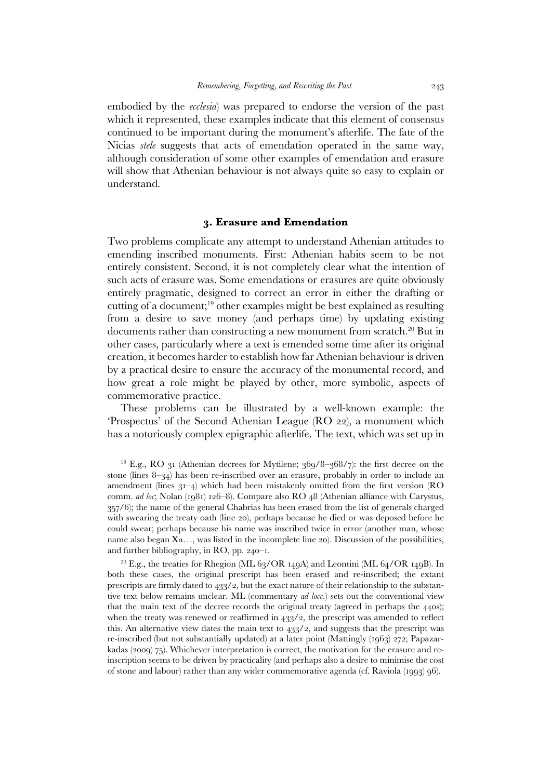embodied by the *ecclesia*) was prepared to endorse the version of the past which it represented, these examples indicate that this element of consensus continued to be important during the monument's afterlife. The fate of the Nicias *stele* suggests that acts of emendation operated in the same way, although consideration of some other examples of emendation and erasure will show that Athenian behaviour is not always quite so easy to explain or understand.

### **3. Erasure and Emendation**

Two problems complicate any attempt to understand Athenian attitudes to emending inscribed monuments. First: Athenian habits seem to be not entirely consistent. Second, it is not completely clear what the intention of such acts of erasure was. Some emendations or erasures are quite obviously entirely pragmatic, designed to correct an error in either the drafting or cutting of a document;<sup>19</sup> other examples might be best explained as resulting from a desire to save money (and perhaps time) by updating existing documents rather than constructing a new monument from scratch.<sup>20</sup> But in other cases, particularly where a text is emended some time after its original creation, it becomes harder to establish how far Athenian behaviour is driven by a practical desire to ensure the accuracy of the monumental record, and how great a role might be played by other, more symbolic, aspects of commemorative practice.

 These problems can be illustrated by a well-known example: the 'Prospectus' of the Second Athenian League (RO 22), a monument which has a notoriously complex epigraphic afterlife. The text, which was set up in

<sup>&</sup>lt;sup>19</sup> E.g., RO 31 (Athenian decrees for Mytilene;  $369/8-368/7$ ): the first decree on the stone (lines 8–34) has been re-inscribed over an erasure, probably in order to include an amendment (lines  $31-4$ ) which had been mistakenly omitted from the first version (RO comm. *ad loc*; Nolan (1981) 126–8). Compare also RO 48 (Athenian alliance with Carystus, 357/6); the name of the general Chabrias has been erased from the list of generals charged with swearing the treaty oath (line 20), perhaps because he died or was deposed before he could swear; perhaps because his name was inscribed twice in error (another man, whose name also began Χα*…*, was listed in the incomplete line 20). Discussion of the possibilities, and further bibliography, in RO, pp. 240–1.

<sup>&</sup>lt;sup>20</sup> E.g., the treaties for Rhegion (ML 63/OR 149A) and Leontini (ML 64/OR 149B). In both these cases, the original prescript has been erased and re-inscribed; the extant prescripts are firmly dated to  $433/2$ , but the exact nature of their relationship to the substantive text below remains unclear. ML (commentary *ad locc.*) sets out the conventional view that the main text of the decree records the original treaty (agreed in perhaps the 440s); when the treaty was renewed or reaffirmed in  $433/2$ , the prescript was amended to reflect this. An alternative view dates the main text to 433/2, and suggests that the prescript was re-inscribed (but not substantially updated) at a later point (Mattingly (1963) 272; Papazarkadas (2009) 75). Whichever interpretation is correct, the motivation for the erasure and reinscription seems to be driven by practicality (and perhaps also a desire to minimise the cost of stone and labour) rather than any wider commemorative agenda (cf. Raviola (1993) 96).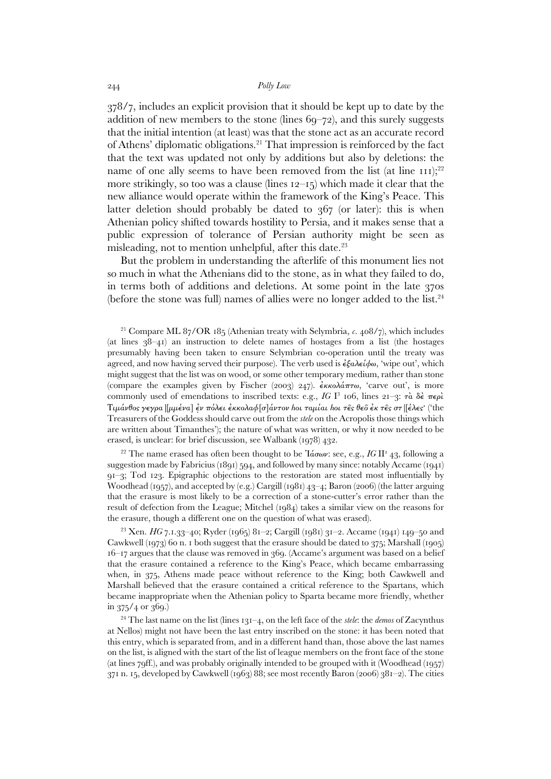378/7, includes an explicit provision that it should be kept up to date by the addition of new members to the stone (lines  $69-72$ ), and this surely suggests that the initial intention (at least) was that the stone act as an accurate record of Athens' diplomatic obligations.<sup>21</sup> That impression is reinforced by the fact that the text was updated not only by additions but also by deletions: the name of one ally seems to have been removed from the list (at line  $111$ );<sup>22</sup> more strikingly, so too was a clause (lines 12–15) which made it clear that the new alliance would operate within the framework of the King's Peace. This latter deletion should probably be dated to 367 (or later): this is when Athenian policy shifted towards hostility to Persia, and it makes sense that a public expression of tolerance of Persian authority might be seen as misleading, not to mention unhelpful, after this date.<sup>23</sup>

 But the problem in understanding the afterlife of this monument lies not so much in what the Athenians did to the stone, as in what they failed to do, in terms both of additions and deletions. At some point in the late 370s (before the stone was full) names of allies were no longer added to the list.<sup>24</sup>

<sup>21</sup> Compare ML 87/OR 185 (Athenian treaty with Selymbria, *c*. 408/7), which includes (at lines  $38-41$ ) an instruction to delete names of hostages from a list (the hostages presumably having been taken to ensure Selymbrian co-operation until the treaty was agreed, and now having served their purpose). The verb used is  $\epsilon \xi a \lambda \epsilon i \phi \omega$ , 'wipe out', which might suggest that the list was on wood, or some other temporary medium, rather than stone (compare the examples given by Fischer (2003) 247).  $\epsilon$ κκολάπτω, 'carve out', is more commonly used of emendations to inscribed texts: e.g., *IG* I<sup>3</sup> 106, lines 21–3: τὰ δὲ περὶ  $T_t\mu\acute{a}\nu\theta$ ος γεγρα|[ $\mu\mu\acute{e}\nu\alpha$ ] ἐν πόλει ἐκκολα $\phi[\sigma]\acute{a}\nu\tau\sigma\nu$  hoι ταμίαι hoι τες θε $\hat{\sigma}$ ελες στ|[έλες· ('the Treasurers of the Goddess should carve out from the *stele* on the Acropolis those things which are written about Timanthes'); the nature of what was written, or why it now needed to be erased, is unclear: for brief discussion, see Walbank (1978) 432.

<sup>22</sup> The name erased has often been thought to be Ἰάσων: see, e.g., IG II<sup>2</sup> 43, following a suggestion made by Fabricius (1891) 594, and followed by many since: notably Accame (1941) 91–3; Tod 123. Epigraphic objections to the restoration are stated most influentially by Woodhead (1957), and accepted by (e.g.) Cargill (1981) 43–4; Baron (2006) (the latter arguing that the erasure is most likely to be a correction of a stone-cutter's error rather than the result of defection from the League; Mitchel (1984) takes a similar view on the reasons for the erasure, though a different one on the question of what was erased).

<sup>23</sup> Xen. *HG* 7.1.33–40; Ryder (1965) 81–2; Cargill (1981) 31–2. Accame (1941) 149–50 and Cawkwell (1973) 60 n. 1 both suggest that the erasure should be dated to 375; Marshall (1905) 16–17 argues that the clause was removed in 369. (Accame's argument was based on a belief that the erasure contained a reference to the King's Peace, which became embarrassing when, in 375, Athens made peace without reference to the King; both Cawkwell and Marshall believed that the erasure contained a critical reference to the Spartans, which became inappropriate when the Athenian policy to Sparta became more friendly, whether in 375/4 or 369.)

<sup>24</sup> The last name on the list (lines 131–4, on the left face of the *stele*: the *demos* of Zacynthus at Nellos) might not have been the last entry inscribed on the stone: it has been noted that this entry, which is separated from, and in a different hand than, those above the last names on the list, is aligned with the start of the list of league members on the front face of the stone (at lines 79ff.), and was probably originally intended to be grouped with it (Woodhead (1957) 371 n. 15, developed by Cawkwell (1963) 88; see most recently Baron (2006)  $381-2$ ). The cities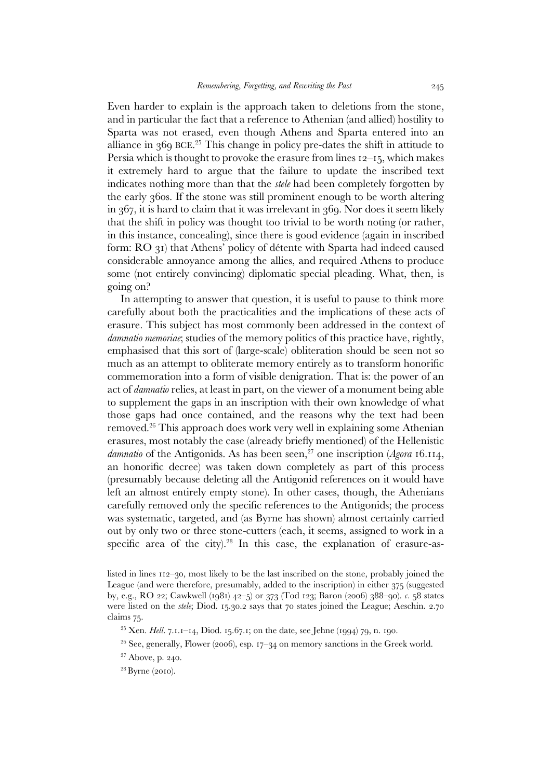Even harder to explain is the approach taken to deletions from the stone, and in particular the fact that a reference to Athenian (and allied) hostility to Sparta was not erased, even though Athens and Sparta entered into an alliance in 369 BCE. <sup>25</sup> This change in policy pre-dates the shift in attitude to Persia which is thought to provoke the erasure from lines  $12-15$ , which makes it extremely hard to argue that the failure to update the inscribed text indicates nothing more than that the *stele* had been completely forgotten by the early 360s. If the stone was still prominent enough to be worth altering in 367, it is hard to claim that it was irrelevant in 369. Nor does it seem likely that the shift in policy was thought too trivial to be worth noting (or rather, in this instance, concealing), since there is good evidence (again in inscribed form: RO 31) that Athens' policy of détente with Sparta had indeed caused considerable annoyance among the allies, and required Athens to produce some (not entirely convincing) diplomatic special pleading. What, then, is going on?

 In attempting to answer that question, it is useful to pause to think more carefully about both the practicalities and the implications of these acts of erasure. This subject has most commonly been addressed in the context of *damnatio memoriae*; studies of the memory politics of this practice have, rightly, emphasised that this sort of (large-scale) obliteration should be seen not so much as an attempt to obliterate memory entirely as to transform honorific commemoration into a form of visible denigration. That is: the power of an act of *damnatio* relies, at least in part, on the viewer of a monument being able to supplement the gaps in an inscription with their own knowledge of what those gaps had once contained, and the reasons why the text had been removed.<sup>26</sup> This approach does work very well in explaining some Athenian erasures, most notably the case (already briefly mentioned) of the Hellenistic damnatio of the Antigonids. As has been seen,<sup>27</sup> one inscription (*Agora* 16.114, an honorific decree) was taken down completely as part of this process (presumably because deleting all the Antigonid references on it would have left an almost entirely empty stone). In other cases, though, the Athenians carefully removed only the specific references to the Antigonids; the process was systematic, targeted, and (as Byrne has shown) almost certainly carried out by only two or three stone-cutters (each, it seems, assigned to work in a specific area of the city).<sup>28</sup> In this case, the explanation of erasure-as-

- <sup>25</sup> Xen. *Hell.* 7.1.1–14, Diod. 15.67.1; on the date, see Jehne (1994) 79, n. 190.
- $26$  See, generally, Flower (2006), esp. 17–34 on memory sanctions in the Greek world.
- <sup>27</sup> Above, p. 240.
- 28 Byrne (2010).

listed in lines 112–30, most likely to be the last inscribed on the stone, probably joined the League (and were therefore, presumably, added to the inscription) in either 375 (suggested by, e.g., RO 22; Cawkwell (1981) 42–5) or 373 (Tod 123; Baron (2006) 388–90). *c.* 58 states were listed on the *stele*; Diod. 15.30.2 says that 70 states joined the League; Aeschin. 2.70 claims 75.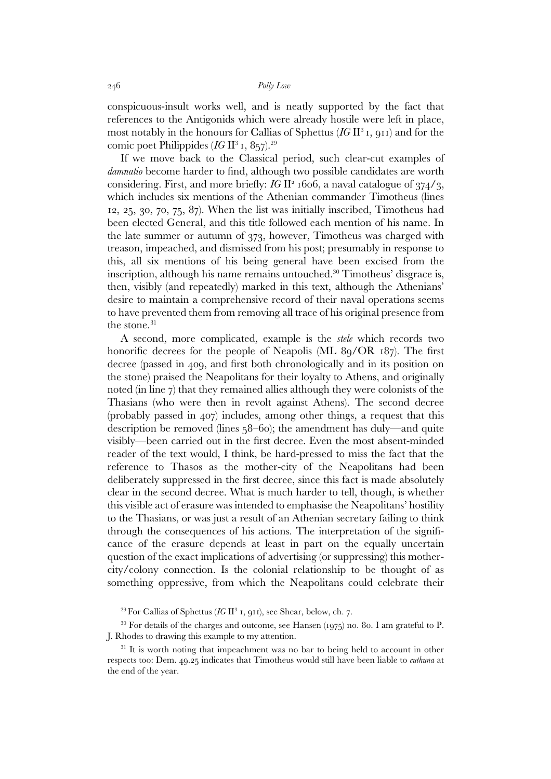conspicuous-insult works well, and is neatly supported by the fact that references to the Antigonids which were already hostile were left in place, most notably in the honours for Callias of Sphettus (*IG* II<sup>3</sup>1, 911) and for the comic poet Philippides  $(IG II<sup>3</sup> I, 857).<sup>29</sup>$ 

 If we move back to the Classical period, such clear-cut examples of *damnatio* become harder to find, although two possible candidates are worth considering. First, and more briefly: *IG* II<sup>2</sup> 1606, a naval catalogue of 374/3, which includes six mentions of the Athenian commander Timotheus (lines 12, 25, 30, 70, 75, 87). When the list was initially inscribed, Timotheus had been elected General, and this title followed each mention of his name. In the late summer or autumn of 373, however, Timotheus was charged with treason, impeached, and dismissed from his post; presumably in response to this, all six mentions of his being general have been excised from the inscription, although his name remains untouched.<sup>30</sup> Timotheus' disgrace is, then, visibly (and repeatedly) marked in this text, although the Athenians' desire to maintain a comprehensive record of their naval operations seems to have prevented them from removing all trace of his original presence from the stone.<sup>31</sup>

 A second, more complicated, example is the *stele* which records two honorific decrees for the people of Neapolis (ML 89/OR 187). The first decree (passed in 409, and first both chronologically and in its position on the stone) praised the Neapolitans for their loyalty to Athens, and originally noted (in line 7) that they remained allies although they were colonists of the Thasians (who were then in revolt against Athens). The second decree (probably passed in 407) includes, among other things, a request that this description be removed (lines 58–60); the amendment has duly—and quite visibly—been carried out in the first decree. Even the most absent-minded reader of the text would, I think, be hard-pressed to miss the fact that the reference to Thasos as the mother-city of the Neapolitans had been deliberately suppressed in the first decree, since this fact is made absolutely clear in the second decree. What is much harder to tell, though, is whether this visible act of erasure was intended to emphasise the Neapolitans' hostility to the Thasians, or was just a result of an Athenian secretary failing to think through the consequences of his actions. The interpretation of the significance of the erasure depends at least in part on the equally uncertain question of the exact implications of advertising (or suppressing) this mothercity/colony connection. Is the colonial relationship to be thought of as something oppressive, from which the Neapolitans could celebrate their

<sup>29</sup> For Callias of Sphettus (*IG* II<sup>3</sup> 1, 911), see Shear, below, ch. 7.

 $30$  For details of the charges and outcome, see Hansen (1975) no. 80. I am grateful to P. J. Rhodes to drawing this example to my attention.

<sup>31</sup> It is worth noting that impeachment was no bar to being held to account in other respects too: Dem. 49.25 indicates that Timotheus would still have been liable to *euthuna* at the end of the year.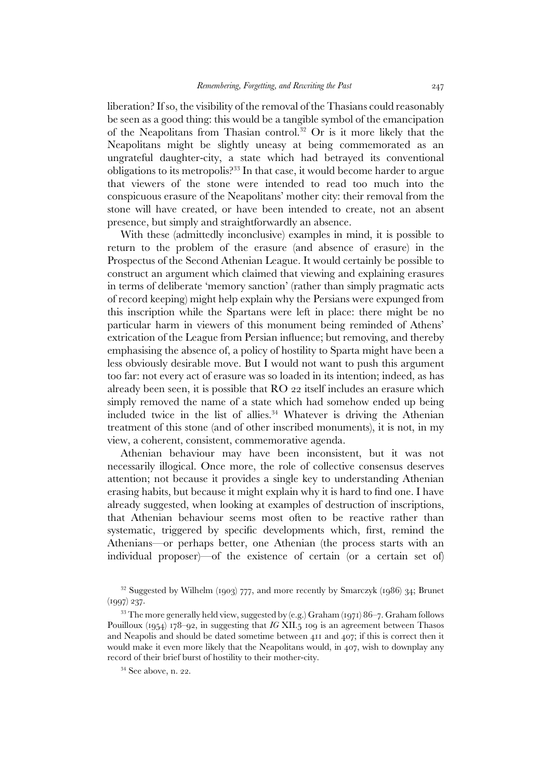liberation? If so, the visibility of the removal of the Thasians could reasonably be seen as a good thing: this would be a tangible symbol of the emancipation of the Neapolitans from Thasian control.<sup>32</sup> Or is it more likely that the Neapolitans might be slightly uneasy at being commemorated as an ungrateful daughter-city, a state which had betrayed its conventional obligations to its metropolis?<sup>33</sup> In that case, it would become harder to argue that viewers of the stone were intended to read too much into the conspicuous erasure of the Neapolitans' mother city: their removal from the stone will have created, or have been intended to create, not an absent presence, but simply and straightforwardly an absence.

 With these (admittedly inconclusive) examples in mind, it is possible to return to the problem of the erasure (and absence of erasure) in the Prospectus of the Second Athenian League. It would certainly be possible to construct an argument which claimed that viewing and explaining erasures in terms of deliberate 'memory sanction' (rather than simply pragmatic acts of record keeping) might help explain why the Persians were expunged from this inscription while the Spartans were left in place: there might be no particular harm in viewers of this monument being reminded of Athens' extrication of the League from Persian influence; but removing, and thereby emphasising the absence of, a policy of hostility to Sparta might have been a less obviously desirable move. But I would not want to push this argument too far: not every act of erasure was so loaded in its intention; indeed, as has already been seen, it is possible that RO 22 itself includes an erasure which simply removed the name of a state which had somehow ended up being included twice in the list of allies.<sup>34</sup> Whatever is driving the Athenian treatment of this stone (and of other inscribed monuments), it is not, in my view, a coherent, consistent, commemorative agenda.

 Athenian behaviour may have been inconsistent, but it was not necessarily illogical. Once more, the role of collective consensus deserves attention; not because it provides a single key to understanding Athenian erasing habits, but because it might explain why it is hard to find one. I have already suggested, when looking at examples of destruction of inscriptions, that Athenian behaviour seems most often to be reactive rather than systematic, triggered by specific developments which, first, remind the Athenians—or perhaps better, one Athenian (the process starts with an individual proposer)—of the existence of certain (or a certain set of)

 $32$  Suggested by Wilhelm (1903) 777, and more recently by Smarczyk (1986) 34; Brunet (1997) 237.

 $33$  The more generally held view, suggested by (e.g.) Graham (1971) 86-7. Graham follows Pouilloux (1954) 178–92, in suggesting that *IG* XII.5 109 is an agreement between Thasos and Neapolis and should be dated sometime between 411 and 407; if this is correct then it would make it even more likely that the Neapolitans would, in 407, wish to downplay any record of their brief burst of hostility to their mother-city.

<sup>34</sup> See above, n. 22.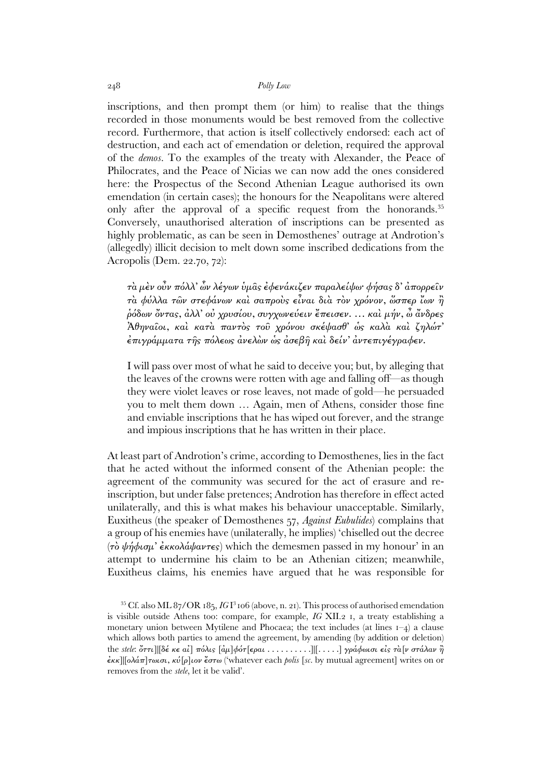inscriptions, and then prompt them (or him) to realise that the things recorded in those monuments would be best removed from the collective record. Furthermore, that action is itself collectively endorsed: each act of destruction, and each act of emendation or deletion, required the approval of the *demos*. To the examples of the treaty with Alexander, the Peace of Philocrates, and the Peace of Nicias we can now add the ones considered here: the Prospectus of the Second Athenian League authorised its own emendation (in certain cases); the honours for the Neapolitans were altered only after the approval of a specific request from the honorands.<sup>35</sup> Conversely, unauthorised alteration of inscriptions can be presented as highly problematic, as can be seen in Demosthenes' outrage at Androtion's (allegedly) illicit decision to melt down some inscribed dedications from the Acropolis (Dem. 22.70, 72):

τὰ µὲν οὖν πόλλ' ὧν λέγων ὑµᾶς ἐφενάκιζεν παραλείψω· φήσας δ' ἀπορρεῖν τὰ φύλλα τῶν στεφάνων καὶ σαπροὺς εἶναι διὰ τὸν χρόνον, ὥσπερ ἴων ἢ ῥόδων ὄντας, ἀλλ' οὐ χρυσίου, συγχωνεύειν ἔπεισεν. … καὶ µήν, ὦ ἄνδρες Ἀθηναῖοι, καὶ κατὰ παντὸς τοῦ χρόνου σκέψασθ' ὡς καλὰ καὶ ζηλώτ' ἐπιγράµµατα τῆς πόλεως ἀνελὼν ὡς ἀσεβῆ καὶ δείν' ἀντεπιγέγραφεν.

I will pass over most of what he said to deceive you; but, by alleging that the leaves of the crowns were rotten with age and falling off—as though they were violet leaves or rose leaves, not made of gold—he persuaded you to melt them down … Again, men of Athens, consider those fine and enviable inscriptions that he has wiped out forever, and the strange and impious inscriptions that he has written in their place.

At least part of Androtion's crime, according to Demosthenes, lies in the fact that he acted without the informed consent of the Athenian people: the agreement of the community was secured for the act of erasure and reinscription, but under false pretences; Androtion has therefore in effect acted unilaterally, and this is what makes his behaviour unacceptable. Similarly, Euxitheus (the speaker of Demosthenes 57, *Against Eubulides*) complains that a group of his enemies have (unilaterally, he implies) 'chiselled out the decree (τὸ ψήφισμ' ἐκκολάψαντες) which the demesmen passed in my honour' in an attempt to undermine his claim to be an Athenian citizen; meanwhile, Euxitheus claims, his enemies have argued that he was responsible for

 $35$  Cf. also ML  $87/OR$   $185$ ,  $IG1^3$  106 (above, n. 21). This process of authorised emendation is visible outside Athens too: compare, for example, *IG* XII.2 1, a treaty establishing a monetary union between Mytilene and Phocaea; the text includes (at lines 1–4) a clause which allows both parties to amend the agreement, by amending (by addition or deletion) the *stele*: ὄττι]|[δέ κε αἰ] πόλις [ἀµ]φότ[εραι . . . . . . . . . .]|[ . . . . .] γράφωισι εἰς τὰ[ν στάλαν ἢ ἐκκ]|[ολάπ]τωισι, κύ[ρ]ιον ἔστω ('whatever each *polis* [*sc.* by mutual agreement] writes on or removes from the *stele*, let it be valid'.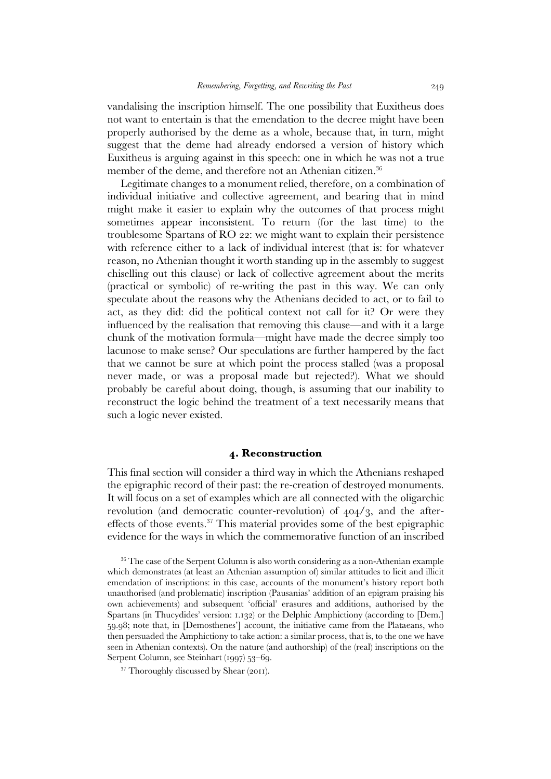vandalising the inscription himself. The one possibility that Euxitheus does not want to entertain is that the emendation to the decree might have been properly authorised by the deme as a whole, because that, in turn, might suggest that the deme had already endorsed a version of history which Euxitheus is arguing against in this speech: one in which he was not a true member of the deme, and therefore not an Athenian citizen.<sup>36</sup>

 Legitimate changes to a monument relied, therefore, on a combination of individual initiative and collective agreement, and bearing that in mind might make it easier to explain why the outcomes of that process might sometimes appear inconsistent. To return (for the last time) to the troublesome Spartans of RO 22: we might want to explain their persistence with reference either to a lack of individual interest (that is: for whatever reason, no Athenian thought it worth standing up in the assembly to suggest chiselling out this clause) or lack of collective agreement about the merits (practical or symbolic) of re-writing the past in this way. We can only speculate about the reasons why the Athenians decided to act, or to fail to act, as they did: did the political context not call for it? Or were they influenced by the realisation that removing this clause—and with it a large chunk of the motivation formula—might have made the decree simply too lacunose to make sense? Our speculations are further hampered by the fact that we cannot be sure at which point the process stalled (was a proposal never made, or was a proposal made but rejected?). What we should probably be careful about doing, though, is assuming that our inability to reconstruct the logic behind the treatment of a text necessarily means that such a logic never existed.

# **4. Reconstruction**

This final section will consider a third way in which the Athenians reshaped the epigraphic record of their past: the re-creation of destroyed monuments. It will focus on a set of examples which are all connected with the oligarchic revolution (and democratic counter-revolution) of 404/3, and the aftereffects of those events.<sup>37</sup> This material provides some of the best epigraphic evidence for the ways in which the commemorative function of an inscribed

<sup>37</sup> Thoroughly discussed by Shear (2011).

<sup>&</sup>lt;sup>36</sup> The case of the Serpent Column is also worth considering as a non-Athenian example which demonstrates (at least an Athenian assumption of) similar attitudes to licit and illicit emendation of inscriptions: in this case, accounts of the monument's history report both unauthorised (and problematic) inscription (Pausanias' addition of an epigram praising his own achievements) and subsequent 'official' erasures and additions, authorised by the Spartans (in Thucydides' version: 1.132) or the Delphic Amphictiony (according to [Dem.] 59.98; note that, in [Demosthenes'] account, the initiative came from the Plataeans, who then persuaded the Amphictiony to take action: a similar process, that is, to the one we have seen in Athenian contexts). On the nature (and authorship) of the (real) inscriptions on the Serpent Column, see Steinhart (1997) 53–69.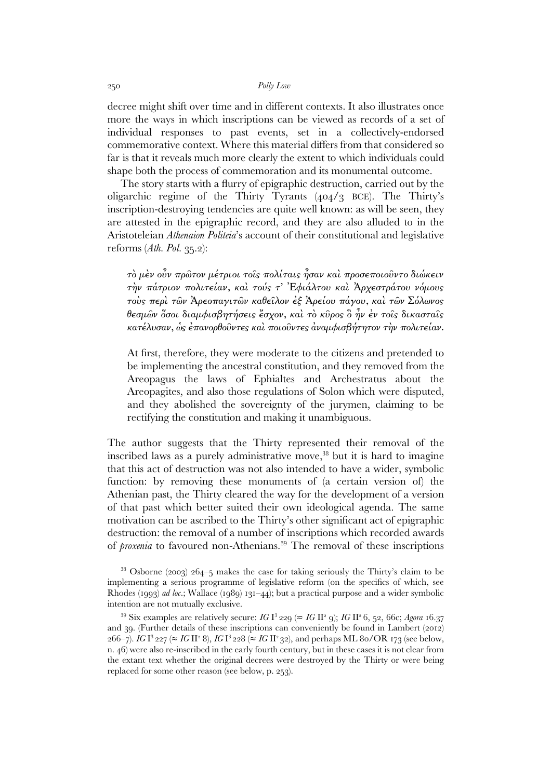decree might shift over time and in different contexts. It also illustrates once more the ways in which inscriptions can be viewed as records of a set of individual responses to past events, set in a collectively-endorsed commemorative context. Where this material differs from that considered so far is that it reveals much more clearly the extent to which individuals could shape both the process of commemoration and its monumental outcome.

 The story starts with a flurry of epigraphic destruction, carried out by the oligarchic regime of the Thirty Tyrants (404/3 BCE). The Thirty's inscription-destroying tendencies are quite well known: as will be seen, they are attested in the epigraphic record, and they are also alluded to in the Aristoteleian *Athenaion Politeia*'s account of their constitutional and legislative reforms (*Ath. Pol.* 35.2):

τὸ µὲν οὖν πρῶτον µέτριοι τοῖς πολίταις ἦσαν καὶ προσεποιοῦντο διώκειν τὴν πάτριον πολιτείαν, καὶ τούς τ' Ἐφιάλτου καὶ Ἀρχεστράτου νόµους τοὺς περὶ τῶν Ἀρεοπαγιτῶν καθεῖλον ἐξ Ἀρείου πάγου, καὶ τῶν Σόλωνος θεσµῶν ὅσοι διαµφισβητήσεις ἔσχον, καὶ τὸ κῦρος ὃ ἦν ἐν τοῖς δικασταῖς κατέλυσαν, ὡς ἐπανορθοῦντες καὶ ποιοῦντες ἀναµφισβήτητον τὴν πολιτείαν.

At first, therefore, they were moderate to the citizens and pretended to be implementing the ancestral constitution, and they removed from the Areopagus the laws of Ephialtes and Archestratus about the Areopagites, and also those regulations of Solon which were disputed, and they abolished the sovereignty of the jurymen, claiming to be rectifying the constitution and making it unambiguous.

The author suggests that the Thirty represented their removal of the inscribed laws as a purely administrative move,<sup>38</sup> but it is hard to imagine that this act of destruction was not also intended to have a wider, symbolic function: by removing these monuments of (a certain version of) the Athenian past, the Thirty cleared the way for the development of a version of that past which better suited their own ideological agenda. The same motivation can be ascribed to the Thirty's other significant act of epigraphic destruction: the removal of a number of inscriptions which recorded awards of *proxenia* to favoured non-Athenians.<sup>39</sup> The removal of these inscriptions

<sup>38</sup> Osborne (2003) 264–5 makes the case for taking seriously the Thirty's claim to be implementing a serious programme of legislative reform (on the specifics of which, see Rhodes (1993) *ad loc*.; Wallace (1989) 131–44); but a practical purpose and a wider symbolic intention are not mutually exclusive.

<sup>&</sup>lt;sup>39</sup> Six examples are relatively secure: *IG* I<sup>3</sup> 229 ( $\approx$  *IG* II<sup>2</sup> 9); *IG* II<sup>2</sup> 6, 52, 66c; *Agora* 16.37 and 39. (Further details of these inscriptions can conveniently be found in Lambert (2012) 266−7). *IG* I<sup>3</sup> 227 (≈ *IG* II<sup>2</sup> 8), *IG* I<sup>3</sup> 228 (≈ *IG* II<sup>2</sup> 32), and perhaps ML 80/OR 173 (see below, n. 46) were also re-inscribed in the early fourth century, but in these cases it is not clear from the extant text whether the original decrees were destroyed by the Thirty or were being replaced for some other reason (see below, p. 253).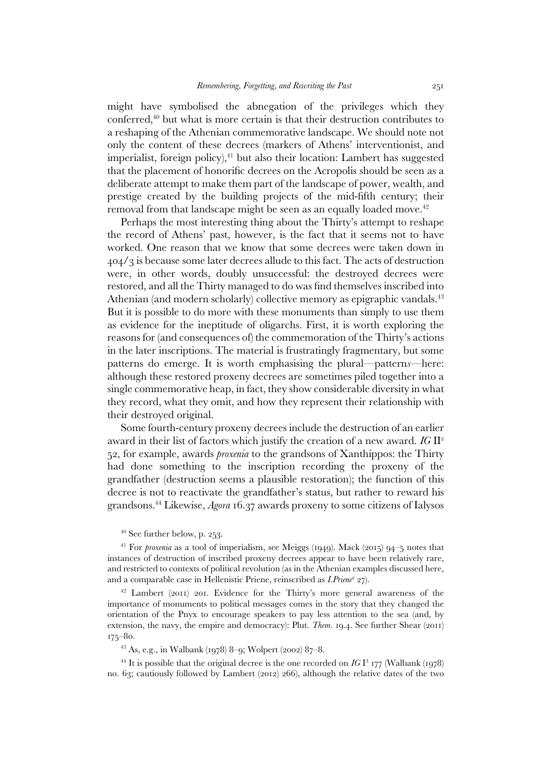might have symbolised the abnegation of the privileges which they conferred,<sup>40</sup> but what is more certain is that their destruction contributes to a reshaping of the Athenian commemorative landscape. We should note not only the content of these decrees (markers of Athens' interventionist, and imperialist, foreign policy), $41$  but also their location: Lambert has suggested that the placement of honorific decrees on the Acropolis should be seen as a deliberate attempt to make them part of the landscape of power, wealth, and prestige created by the building projects of the mid-fifth century; their removal from that landscape might be seen as an equally loaded move.<sup>42</sup>

 Perhaps the most interesting thing about the Thirty's attempt to reshape the record of Athens' past, however, is the fact that it seems not to have worked. One reason that we know that some decrees were taken down in 404/3 is because some later decrees allude to this fact. The acts of destruction were, in other words, doubly unsuccessful: the destroyed decrees were restored, and all the Thirty managed to do was find themselves inscribed into Athenian (and modern scholarly) collective memory as epigraphic vandals.<sup>43</sup> But it is possible to do more with these monuments than simply to use them as evidence for the ineptitude of oligarchs. First, it is worth exploring the reasons for (and consequences of) the commemoration of the Thirty's actions in the later inscriptions. The material is frustratingly fragmentary, but some patterns do emerge. It is worth emphasising the plural—pattern*s*—here: although these restored proxeny decrees are sometimes piled together into a single commemorative heap, in fact, they show considerable diversity in what they record, what they omit, and how they represent their relationship with their destroyed original.

 Some fourth-century proxeny decrees include the destruction of an earlier award in their list of factors which justify the creation of a new award. *IG* II<sup>2</sup> 52, for example, awards *proxenia* to the grandsons of Xanthippos: the Thirty had done something to the inscription recording the proxeny of the grandfather (destruction seems a plausible restoration); the function of this decree is not to reactivate the grandfather's status, but rather to reward his grandsons.<sup>44</sup> Likewise, *Agora* 16.37 awards proxeny to some citizens of Ialysos

### <sup>40</sup> See further below, p. 253.

<sup>41</sup> For *proxenia* as a tool of imperialism, see Meiggs (1949). Mack (2015) 94–5 notes that instances of destruction of inscribed proxeny decrees appear to have been relatively rare, and restricted to contexts of political revolution (as in the Athenian examples discussed here, and a comparable case in Hellenistic Priene, reinscribed as *I.Priene<sup>2</sup>* 27).

 $42$  Lambert (2011) 201. Evidence for the Thirty's more general awareness of the importance of monuments to political messages comes in the story that they changed the orientation of the Pnyx to encourage speakers to pay less attention to the sea (and, by extension, the navy, the empire and democracy): Plut. *Them.* 19.4. See further Shear (2011) 175–80.

 $43$  As, e.g., in Walbank (1978) 8–9; Wolpert (2002) 87–8.

 $^{44}$  It is possible that the original decree is the one recorded on *IG* I<sup>3</sup> 177 (Walbank (1978) no. 63; cautiously followed by Lambert (2012) 266), although the relative dates of the two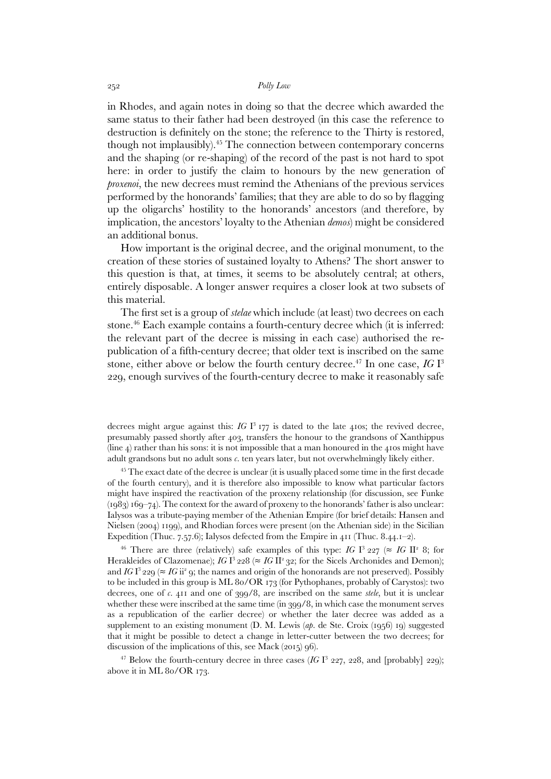in Rhodes, and again notes in doing so that the decree which awarded the same status to their father had been destroyed (in this case the reference to destruction is definitely on the stone; the reference to the Thirty is restored, though not implausibly).<sup>45</sup> The connection between contemporary concerns and the shaping (or re-shaping) of the record of the past is not hard to spot here: in order to justify the claim to honours by the new generation of *proxenoi*, the new decrees must remind the Athenians of the previous services performed by the honorands' families; that they are able to do so by flagging up the oligarchs' hostility to the honorands' ancestors (and therefore, by implication, the ancestors' loyalty to the Athenian *demos*) might be considered an additional bonus.

 How important is the original decree, and the original monument, to the creation of these stories of sustained loyalty to Athens? The short answer to this question is that, at times, it seems to be absolutely central; at others, entirely disposable. A longer answer requires a closer look at two subsets of this material.

 The first set is a group of *stelae* which include (at least) two decrees on each stone.<sup>46</sup> Each example contains a fourth-century decree which (it is inferred: the relevant part of the decree is missing in each case) authorised the republication of a fifth-century decree; that older text is inscribed on the same stone, either above or below the fourth century decree.<sup>47</sup> In one case, *IG* I<sup>3</sup> 229, enough survives of the fourth-century decree to make it reasonably safe

decrees might argue against this:  $IG I<sup>3</sup> 177$  is dated to the late 410s; the revived decree, presumably passed shortly after 403, transfers the honour to the grandsons of Xanthippus (line 4) rather than his sons: it is not impossible that a man honoured in the 410s might have adult grandsons but no adult sons *c.* ten years later, but not overwhelmingly likely either.

<sup>45</sup> The exact date of the decree is unclear (it is usually placed some time in the first decade of the fourth century), and it is therefore also impossible to know what particular factors might have inspired the reactivation of the proxeny relationship (for discussion, see Funke  $(1983) 169-74$ . The context for the award of proxeny to the honorands' father is also unclear: Ialysos was a tribute-paying member of the Athenian Empire (for brief details: Hansen and Nielsen (2004) 1199), and Rhodian forces were present (on the Athenian side) in the Sicilian Expedition (Thuc. 7.57.6); Ialysos defected from the Empire in 411 (Thuc. 8.44.1–2).

<sup>46</sup> There are three (relatively) safe examples of this type: *IG* I<sup>3</sup> 227 ( $\approx$  *IG* II<sup>2</sup> 8; for Herakleides of Clazomenae); *IG*  $I^3$  228 ( $\approx$  *IG* II<sup>2</sup> 32; for the Sicels Archonides and Demon); and *IG* I<sup>3</sup> 229 ( $\approx$  *IG* ii<sup>2</sup> 9; the names and origin of the honorands are not preserved). Possibly to be included in this group is ML 80/OR 173 (for Pythophanes, probably of Carystos): two decrees, one of *c.* 411 and one of 399/8, are inscribed on the same *stele*, but it is unclear whether these were inscribed at the same time (in 399/8, in which case the monument serves as a republication of the earlier decree) or whether the later decree was added as a supplement to an existing monument (D. M. Lewis (*ap.* de Ste. Croix (1956) 19) suggested that it might be possible to detect a change in letter-cutter between the two decrees; for discussion of the implications of this, see Mack (2015) 96).

<sup>47</sup> Below the fourth-century decree in three cases  $(IG I<sup>3</sup> 227, 228, and [probably] 229);$ above it in ML 80/OR 173.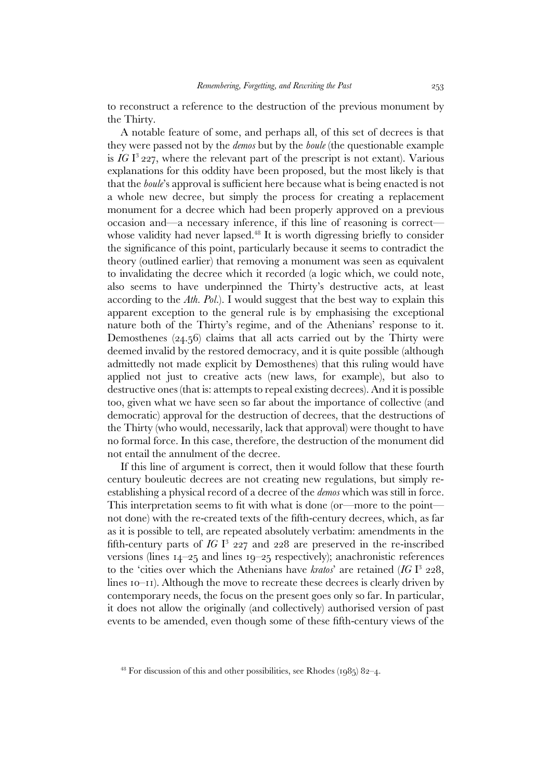to reconstruct a reference to the destruction of the previous monument by the Thirty.

 A notable feature of some, and perhaps all, of this set of decrees is that they were passed not by the *demos* but by the *boule* (the questionable example is  $IGI<sup>3</sup>$  227, where the relevant part of the prescript is not extant). Various explanations for this oddity have been proposed, but the most likely is that that the *boule*'s approval is sufficient here because what is being enacted is not a whole new decree, but simply the process for creating a replacement monument for a decree which had been properly approved on a previous occasion and—a necessary inference, if this line of reasoning is correct whose validity had never lapsed.<sup>48</sup> It is worth digressing briefly to consider the significance of this point, particularly because it seems to contradict the theory (outlined earlier) that removing a monument was seen as equivalent to invalidating the decree which it recorded (a logic which, we could note, also seems to have underpinned the Thirty's destructive acts, at least according to the *Ath. Pol.*). I would suggest that the best way to explain this apparent exception to the general rule is by emphasising the exceptional nature both of the Thirty's regime, and of the Athenians' response to it. Demosthenes (24.56) claims that all acts carried out by the Thirty were deemed invalid by the restored democracy, and it is quite possible (although admittedly not made explicit by Demosthenes) that this ruling would have applied not just to creative acts (new laws, for example), but also to destructive ones (that is: attempts to repeal existing decrees). And it is possible too, given what we have seen so far about the importance of collective (and democratic) approval for the destruction of decrees, that the destructions of the Thirty (who would, necessarily, lack that approval) were thought to have no formal force. In this case, therefore, the destruction of the monument did not entail the annulment of the decree.

 If this line of argument is correct, then it would follow that these fourth century bouleutic decrees are not creating new regulations, but simply reestablishing a physical record of a decree of the *demos* which was still in force. This interpretation seems to fit with what is done (or—more to the point not done) with the re-created texts of the fifth-century decrees, which, as far as it is possible to tell, are repeated absolutely verbatim: amendments in the fifth-century parts of *IG* I 3 227 and 228 are preserved in the re-inscribed versions (lines 14–25 and lines 19–25 respectively); anachronistic references to the 'cities over which the Athenians have *kratos*' are retained (*IG* I 3 228, lines 10–11). Although the move to recreate these decrees is clearly driven by contemporary needs, the focus on the present goes only so far. In particular, it does not allow the originally (and collectively) authorised version of past events to be amended, even though some of these fifth-century views of the

 $48$  For discussion of this and other possibilities, see Rhodes (1985) 82–4.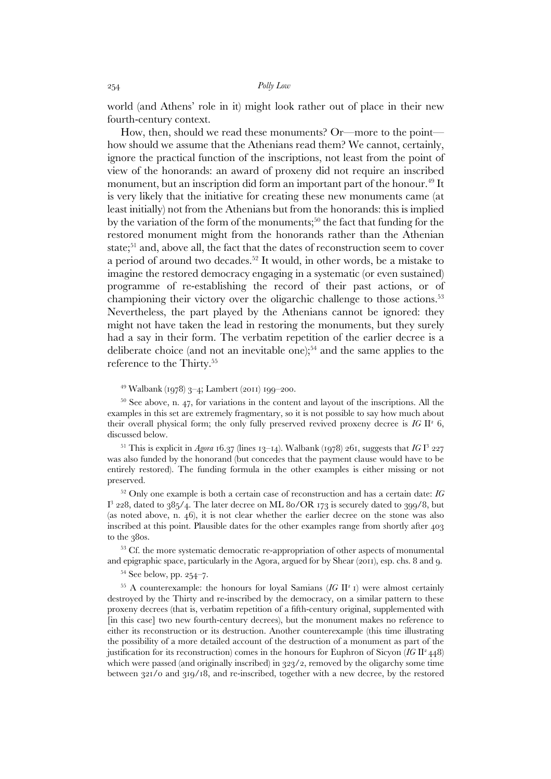world (and Athens' role in it) might look rather out of place in their new fourth-century context.

 How, then, should we read these monuments? Or—more to the point how should we assume that the Athenians read them? We cannot, certainly, ignore the practical function of the inscriptions, not least from the point of view of the honorands: an award of proxeny did not require an inscribed monument, but an inscription did form an important part of the honour.<sup>49</sup> It is very likely that the initiative for creating these new monuments came (at least initially) not from the Athenians but from the honorands: this is implied by the variation of the form of the monuments;<sup>50</sup> the fact that funding for the restored monument might from the honorands rather than the Athenian state;<sup>51</sup> and, above all, the fact that the dates of reconstruction seem to cover a period of around two decades.<sup>52</sup> It would, in other words, be a mistake to imagine the restored democracy engaging in a systematic (or even sustained) programme of re-establishing the record of their past actions, or of championing their victory over the oligarchic challenge to those actions.<sup>53</sup> Nevertheless, the part played by the Athenians cannot be ignored: they might not have taken the lead in restoring the monuments, but they surely had a say in their form. The verbatim repetition of the earlier decree is a deliberate choice (and not an inevitable one);<sup>54</sup> and the same applies to the reference to the Thirty.<sup>55</sup>

# <sup>49</sup> Walbank (1978) 3–4; Lambert (2011) 199–200.

 $50$  See above, n. 47, for variations in the content and layout of the inscriptions. All the examples in this set are extremely fragmentary, so it is not possible to say how much about their overall physical form; the only fully preserved revived proxeny decree is  $IG$   $II^2$  6, discussed below.

<sup>51</sup> This is explicit in *Agora* 16.37 (lines 13–14). Walbank (1978) 261, suggests that  $IGI<sup>3</sup>$  227 was also funded by the honorand (but concedes that the payment clause would have to be entirely restored). The funding formula in the other examples is either missing or not preserved.

<sup>52</sup> Only one example is both a certain case of reconstruction and has a certain date: *IG*   ${\rm I}^3$  228, dated to 385/4. The later decree on ML 80/OR 173 is securely dated to 399/8, but (as noted above, n. 46), it is not clear whether the earlier decree on the stone was also inscribed at this point. Plausible dates for the other examples range from shortly after 403 to the 380s.

<sup>53</sup> Cf. the more systematic democratic re-appropriation of other aspects of monumental and epigraphic space, particularly in the Agora, argued for by Shear (2011), esp. chs. 8 and 9.

<sup>54</sup> See below, pp. 254–7.

<sup>55</sup> A counterexample: the honours for loyal Samians (*IG II<sup>2</sup> I*) were almost certainly destroyed by the Thirty and re-inscribed by the democracy, on a similar pattern to these proxeny decrees (that is, verbatim repetition of a fifth-century original, supplemented with [in this case] two new fourth-century decrees), but the monument makes no reference to either its reconstruction or its destruction. Another counterexample (this time illustrating the possibility of a more detailed account of the destruction of a monument as part of the justification for its reconstruction) comes in the honours for Euphron of Sicyon (*IG II<sup>2</sup>* 448) which were passed (and originally inscribed) in 323/2, removed by the oligarchy some time between 321/0 and 319/18, and re-inscribed, together with a new decree, by the restored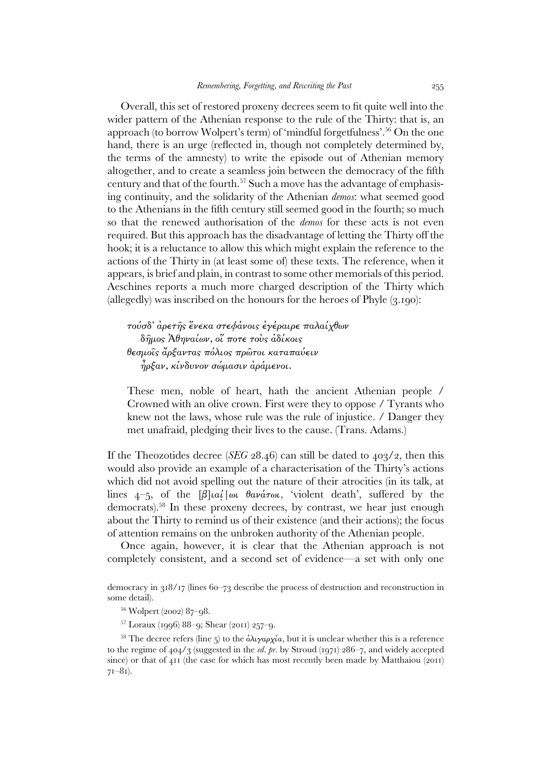Overall, this set of restored proxeny decrees seem to fit quite well into the wider pattern of the Athenian response to the rule of the Thirty: that is, an approach (to borrow Wolpert's term) of 'mindful forgetfulness'.<sup>56</sup> On the one hand, there is an urge (reflected in, though not completely determined by, the terms of the amnesty) to write the episode out of Athenian memory altogether, and to create a seamless join between the democracy of the fifth century and that of the fourth.<sup>57</sup> Such a move has the advantage of emphasising continuity, and the solidarity of the Athenian *demos*: what seemed good to the Athenians in the fifth century still seemed good in the fourth; so much so that the renewed authorisation of the *demos* for these acts is not even required. But this approach has the disadvantage of letting the Thirty off the hook; it is a reluctance to allow this which might explain the reference to the actions of the Thirty in (at least some of) these texts. The reference, when it appears, is brief and plain, in contrast to some other memorials of this period. Aeschines reports a much more charged description of the Thirty which (allegedly) was inscribed on the honours for the heroes of Phyle (3.190):

τούσδ' ἀρετῆς ἕνεκα στεφάνοις ἐγέραιρε παλαίχθων δῆµος Ἀθηναίων, οἵ ποτε τοὺς ἀδίκοις θεσµοῖς ἄρξαντας πόλιος πρῶτοι καταπαύειν ἦρξαν, κίνδυνον σώµασιν ἀράµενοι.

These men, noble of heart, hath the ancient Athenian people / Crowned with an olive crown. First were they to oppose / Tyrants who knew not the laws, whose rule was the rule of injustice. / Danger they met unafraid, pledging their lives to the cause. (Trans. Adams.)

If the Theozotides decree (*SEG* 28.46) can still be dated to 403/2, then this would also provide an example of a characterisation of the Thirty's actions which did not avoid spelling out the nature of their atrocities (in its talk, at lines  $4-5$ , of the  $\beta$ ]*ial*/ $\omega$  θανάτωι, 'violent death', suffered by the democrats).<sup>58</sup> In these proxeny decrees, by contrast, we hear just enough about the Thirty to remind us of their existence (and their actions); the focus of attention remains on the unbroken authority of the Athenian people.

 Once again, however, it is clear that the Athenian approach is not completely consistent, and a second set of evidence—a set with only one

 $57$  Loraux (1996) 88–9; Shear (2011) 257–9.

<sup>58</sup> The decree refers (line 5) to the  $\partial \lambda \psi \alpha \rho \chi' \alpha$ , but it is unclear whether this is a reference to the regime of 404/3 (suggested in the *ed. pr.* by Stroud (1971) 286–7, and widely accepted since) or that of  $411$  (the case for which has most recently been made by Matthaiou (2011) 71–81).

democracy in 318/17 (lines 60–73 describe the process of destruction and reconstruction in some detail).

<sup>56</sup> Wolpert (2002) 87–98.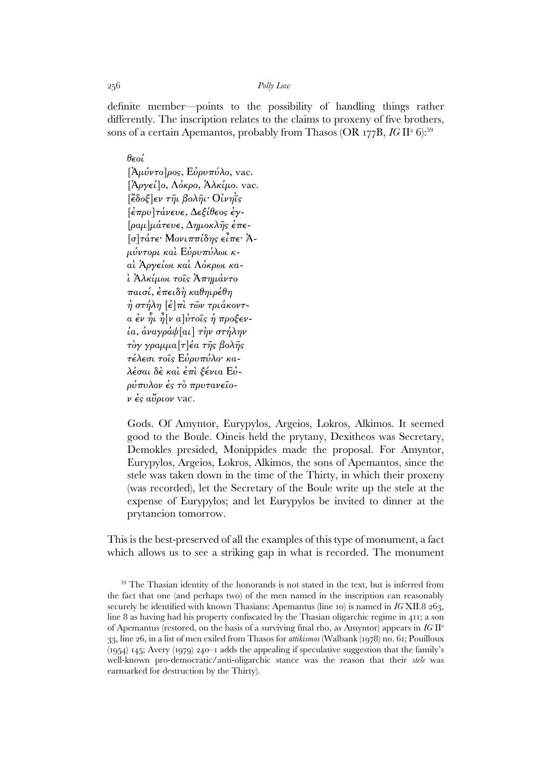definite member—points to the possibility of handling things rather differently. The inscription relates to the claims to proxeny of five brothers, sons of a certain Apemantos, probably from Thasos (OR 177B, *IG* II<del>°</del> 6):<sup>59</sup>

θεοί

 $[\hat{A}\mu\hat{\nu}\nu\tau\sigma]$ ρος, Ευρυπύλο, vac.  $[\hat{A}ργεί]o, Λόκρο, Άλκίμο.$  vac.  $\mathcal{E}$ δοξ $\epsilon$ ν τηι βοληι· Οίνηῒς [ἐπρυ]τάνευε, ∆εξίθεος ἐγ- [ραµ]µάτευε, ∆ηµοκλῆς ἐπε- [σ]τάτε· Μονιππίδης εἶπε· Ἀµύντορι καὶ Εὐρυπύλωι καὶ Ἀργείωι καὶ Λόκρωι καὶ Ἀλκίµωι τοῖς Ἀπηµάντο παισί, ἐπειδὴ καθηιρέθη ἡ στήλη [ἐ]πὶ τῶν τριάκοντα ἐν ἧι ἦ[ν α]ὐτοῖς ἡ προξενία, ἀναγράψ[αι] τὴν στήλην τὸγ γραµµα[τ]έα τῆς βολῆς τέλεσι τοῖς Εὐρυπύλο· καλέσαι δὲ καὶ ἐπὶ ξένια Εὐρύπυλον ἐς τὸ πρυτανεῖο $ν \dot{\epsilon} s \overset{\gamma}{\alpha} \overset{\gamma}{\psi} \rho \iota \overset{\gamma}{\omega} \nu$  vac.

Gods. Of Amyntor, Eurypylos, Argeios, Lokros, Alkimos. It seemed good to the Boule. Oineis held the prytany, Dexitheos was Secretary, Demokles presided, Monippides made the proposal. For Amyntor, Eurypylos, Argeios, Lokros, Alkimos, the sons of Apemantos, since the stele was taken down in the time of the Thirty, in which their proxeny (was recorded), let the Secretary of the Boule write up the stele at the expense of Eurypylos; and let Eurypylos be invited to dinner at the prytaneion tomorrow.

This is the best-preserved of all the examples of this type of monument, a fact which allows us to see a striking gap in what is recorded. The monument

<sup>&</sup>lt;sup>59</sup> The Thasian identity of the honorands is not stated in the text, but is inferred from the fact that one (and perhaps two) of the men named in the inscription can reasonably securely be identified with known Thasians: Apemantus (line 10) is named in *IG* XII.8 263, line 8 as having had his property confiscated by the Thasian oligarchic regime in 411; a son of Apemantus (restored, on the basis of a surviving final rho, as Amyntor) appears in *IG* II<sup>2</sup> 33, line 26, in a list of men exiled from Thasos for *attikismos* (Walbank (1978) no. 61; Pouilloux (1954) 145; Avery (1979) 240–1 adds the appealing if speculative suggestion that the family's well-known pro-democratic/anti-oligarchic stance was the reason that their *stele* was earmarked for destruction by the Thirty).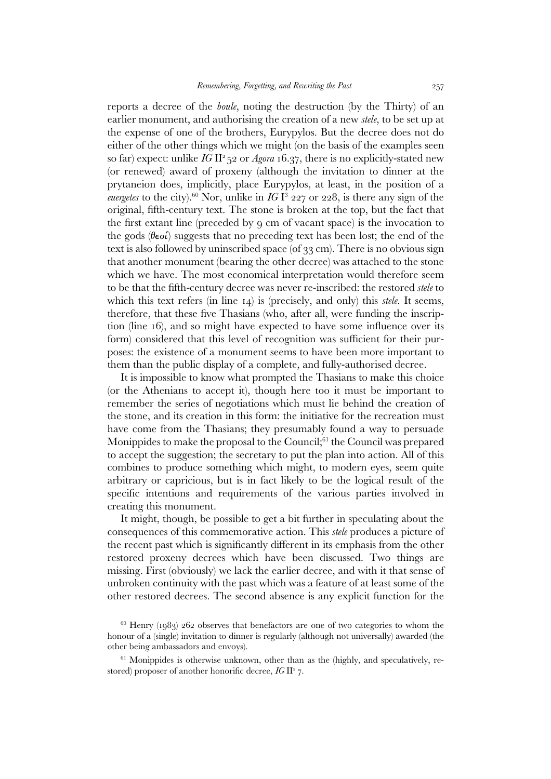reports a decree of the *boule*, noting the destruction (by the Thirty) of an earlier monument, and authorising the creation of a new *stele*, to be set up at the expense of one of the brothers, Eurypylos*.* But the decree does not do either of the other things which we might (on the basis of the examples seen so far) expect: unlike *IG* II<sup>2</sup>52 or *Agora* 16.37, there is no explicitly-stated new (or renewed) award of proxeny (although the invitation to dinner at the prytaneion does, implicitly, place Eurypylos, at least, in the position of a *euergetes* to the city).<sup>60</sup> Nor, unlike in  $IGI<sup>3</sup>$  227 or 228, is there any sign of the original, fifth-century text. The stone is broken at the top, but the fact that the first extant line (preceded by 9 cm of vacant space) is the invocation to the gods ( $\theta \in \infty$ ) suggests that no preceding text has been lost; the end of the text is also followed by uninscribed space (of 33 cm). There is no obvious sign that another monument (bearing the other decree) was attached to the stone which we have. The most economical interpretation would therefore seem to be that the fifth-century decree was never re-inscribed: the restored *stele* to which this text refers (in line 14) is (precisely, and only) this *stele*. It seems, therefore, that these five Thasians (who, after all, were funding the inscription (line 16), and so might have expected to have some influence over its form) considered that this level of recognition was sufficient for their purposes: the existence of a monument seems to have been more important to them than the public display of a complete, and fully-authorised decree.

 It is impossible to know what prompted the Thasians to make this choice (or the Athenians to accept it), though here too it must be important to remember the series of negotiations which must lie behind the creation of the stone, and its creation in this form: the initiative for the recreation must have come from the Thasians; they presumably found a way to persuade Monippides to make the proposal to the Council;<sup>61</sup> the Council was prepared to accept the suggestion; the secretary to put the plan into action. All of this combines to produce something which might, to modern eyes, seem quite arbitrary or capricious, but is in fact likely to be the logical result of the specific intentions and requirements of the various parties involved in creating this monument.

 It might, though, be possible to get a bit further in speculating about the consequences of this commemorative action. This *stele* produces a picture of the recent past which is significantly different in its emphasis from the other restored proxeny decrees which have been discussed. Two things are missing. First (obviously) we lack the earlier decree, and with it that sense of unbroken continuity with the past which was a feature of at least some of the other restored decrees. The second absence is any explicit function for the

 $60$  Henry (1983) 262 observes that benefactors are one of two categories to whom the honour of a (single) invitation to dinner is regularly (although not universally) awarded (the other being ambassadors and envoys).

 $61$  Monippides is otherwise unknown, other than as the (highly, and speculatively, restored) proposer of another honorific decree, *IG II<sup>2</sup>7*.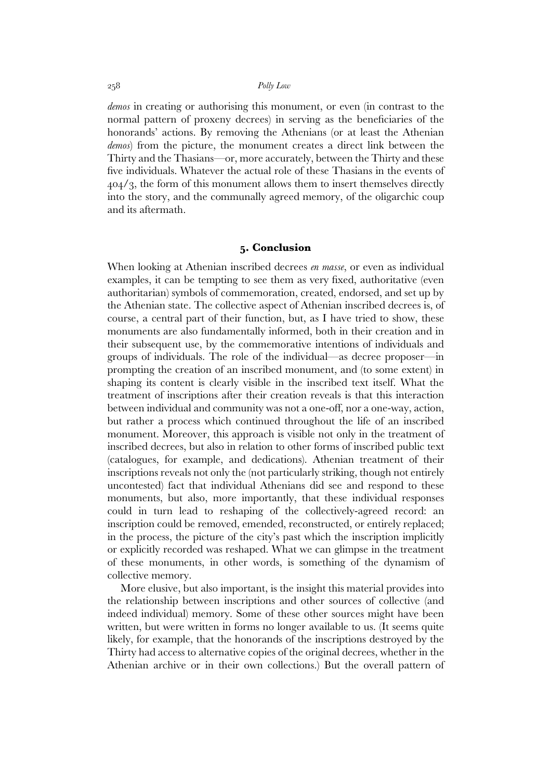*demos* in creating or authorising this monument, or even (in contrast to the normal pattern of proxeny decrees) in serving as the beneficiaries of the honorands' actions. By removing the Athenians (or at least the Athenian *demos*) from the picture, the monument creates a direct link between the Thirty and the Thasians—or, more accurately, between the Thirty and these five individuals. Whatever the actual role of these Thasians in the events of 404/3, the form of this monument allows them to insert themselves directly into the story, and the communally agreed memory, of the oligarchic coup and its aftermath.

### **5. Conclusion**

When looking at Athenian inscribed decrees *en masse*, or even as individual examples, it can be tempting to see them as very fixed, authoritative (even authoritarian) symbols of commemoration, created, endorsed, and set up by the Athenian state. The collective aspect of Athenian inscribed decrees is, of course, a central part of their function, but, as I have tried to show, these monuments are also fundamentally informed, both in their creation and in their subsequent use, by the commemorative intentions of individuals and groups of individuals. The role of the individual—as decree proposer—in prompting the creation of an inscribed monument, and (to some extent) in shaping its content is clearly visible in the inscribed text itself. What the treatment of inscriptions after their creation reveals is that this interaction between individual and community was not a one-off, nor a one-way, action, but rather a process which continued throughout the life of an inscribed monument. Moreover, this approach is visible not only in the treatment of inscribed decrees, but also in relation to other forms of inscribed public text (catalogues, for example, and dedications). Athenian treatment of their inscriptions reveals not only the (not particularly striking, though not entirely uncontested) fact that individual Athenians did see and respond to these monuments, but also, more importantly, that these individual responses could in turn lead to reshaping of the collectively-agreed record: an inscription could be removed, emended, reconstructed, or entirely replaced; in the process, the picture of the city's past which the inscription implicitly or explicitly recorded was reshaped. What we can glimpse in the treatment of these monuments, in other words, is something of the dynamism of collective memory.

 More elusive, but also important, is the insight this material provides into the relationship between inscriptions and other sources of collective (and indeed individual) memory. Some of these other sources might have been written, but were written in forms no longer available to us. (It seems quite likely, for example, that the honorands of the inscriptions destroyed by the Thirty had access to alternative copies of the original decrees, whether in the Athenian archive or in their own collections.) But the overall pattern of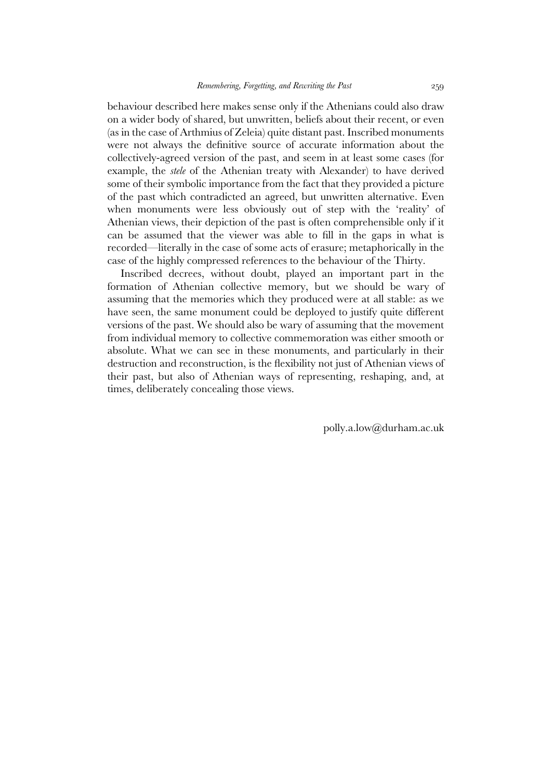behaviour described here makes sense only if the Athenians could also draw on a wider body of shared, but unwritten, beliefs about their recent, or even (as in the case of Arthmius of Zeleia) quite distant past. Inscribed monuments were not always the definitive source of accurate information about the collectively-agreed version of the past, and seem in at least some cases (for example, the *stele* of the Athenian treaty with Alexander) to have derived some of their symbolic importance from the fact that they provided a picture of the past which contradicted an agreed, but unwritten alternative. Even when monuments were less obviously out of step with the 'reality' of Athenian views, their depiction of the past is often comprehensible only if it can be assumed that the viewer was able to fill in the gaps in what is recorded—literally in the case of some acts of erasure; metaphorically in the case of the highly compressed references to the behaviour of the Thirty.

 Inscribed decrees, without doubt, played an important part in the formation of Athenian collective memory, but we should be wary of assuming that the memories which they produced were at all stable: as we have seen, the same monument could be deployed to justify quite different versions of the past. We should also be wary of assuming that the movement from individual memory to collective commemoration was either smooth or absolute. What we can see in these monuments, and particularly in their destruction and reconstruction, is the flexibility not just of Athenian views of their past, but also of Athenian ways of representing, reshaping, and, at times, deliberately concealing those views.

polly.a.low@durham.ac.uk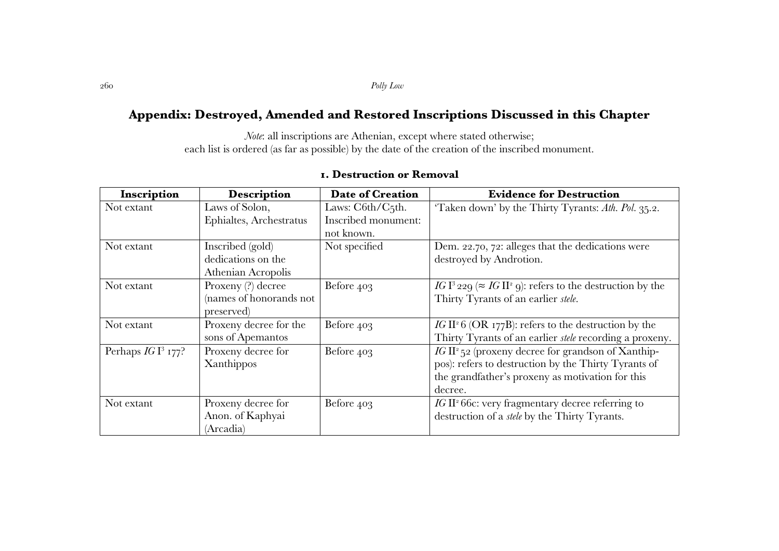# **Appendix: Destroyed, Amended and Restored Inscriptions Discussed in this Chapter**

*Note*: all inscriptions are Athenian, except where stated otherwise; each list is ordered (as far as possible) by the date of the creation of the inscribed monument.

| Inscription         | <b>Description</b>      | <b>Date of Creation</b> | <b>Evidence for Destruction</b>                                                           |
|---------------------|-------------------------|-------------------------|-------------------------------------------------------------------------------------------|
| Not extant          | Laws of Solon,          | Laws: C6th/C5th.        | 'Taken down' by the Thirty Tyrants: Ath. Pol. 35.2.                                       |
|                     | Ephialtes, Archestratus | Inscribed monument:     |                                                                                           |
|                     |                         | not known.              |                                                                                           |
| Not extant          | Inscribed (gold)        | Not specified           | Dem. 22.70, 72: alleges that the dedications were                                         |
|                     | dedications on the      |                         | destroyed by Androtion.                                                                   |
|                     | Athenian Acropolis      |                         |                                                                                           |
| Not extant          | Proxeny (?) decree      | Before 403              | IG I <sup>3</sup> 229 ( $\approx$ IG II <sup>2</sup> 9): refers to the destruction by the |
|                     | (names of honorands not |                         | Thirty Tyrants of an earlier stele.                                                       |
|                     | preserved               |                         |                                                                                           |
| Not extant          | Proxeny decree for the  | Before 403              | IG II <sup>2</sup> 6 (OR 177B): refers to the destruction by the                          |
|                     | sons of Apemantos       |                         | Thirty Tyrants of an earlier <i>stele</i> recording a proxeny.                            |
| Perhaps $IGI3$ 177? | Proxeny decree for      | Before 403              | $IG II2$ 52 (proxeny decree for grandson of Xanthip-                                      |
|                     | Xanthippos              |                         | pos): refers to destruction by the Thirty Tyrants of                                      |
|                     |                         |                         | the grandfather's proxeny as motivation for this                                          |
|                     |                         |                         | decree.                                                                                   |
| Not extant          | Proxeny decree for      | Before 403              | IG II <sup>2</sup> 66c: very fragmentary decree referring to                              |
|                     | Anon. of Kaphyai        |                         | destruction of a <i>stele</i> by the Thirty Tyrants.                                      |
|                     | (Arcadia)               |                         |                                                                                           |

# **1. Destruction or Removal**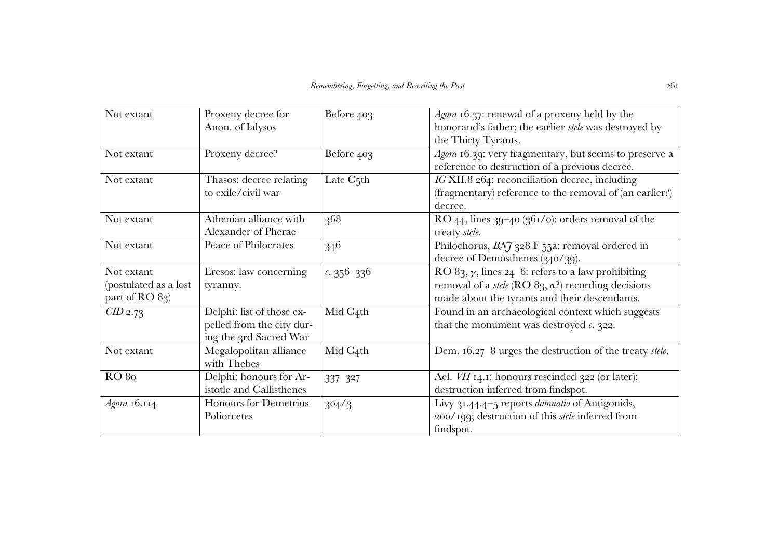| Not extant            | Proxeny decree for        | Before 403             | Agora 16.37: renewal of a proxeny held by the                    |
|-----------------------|---------------------------|------------------------|------------------------------------------------------------------|
|                       | Anon. of Ialysos          |                        | honorand's father; the earlier stele was destroyed by            |
|                       |                           |                        | the Thirty Tyrants.                                              |
| Not extant            | Proxeny decree?           | Before 403             | Agora 16.39: very fragmentary, but seems to preserve a           |
|                       |                           |                        | reference to destruction of a previous decree.                   |
| Not extant            | Thasos: decree relating   | Late C <sub>5</sub> th | IG XII.8 264: reconciliation decree, including                   |
|                       | to exile/civil war        |                        | (fragmentary) reference to the removal of (an earlier?)          |
|                       |                           |                        | decree.                                                          |
| Not extant            | Athenian alliance with    | 368                    | RO 44, lines $39-40$ ( $361/0$ ): orders removal of the          |
|                       | Alexander of Pherae       |                        | treaty stele.                                                    |
| Not extant            | Peace of Philocrates      | 346                    | Philochorus, $BNJ_328$ F 55a: removal ordered in                 |
|                       |                           |                        | decree of Demosthenes $(340/39)$ .                               |
| Not extant            | Eresos: law concerning    | $c.356 - 336$          | RO 83, $\gamma$ , lines 24–6: refers to a law prohibiting        |
| (postulated as a lost | tyranny.                  |                        | removal of a <i>stele</i> ( $RO 83$ , $a$ ?) recording decisions |
| part of RO 83)        |                           |                        | made about the tyrants and their descendants.                    |
| $CID$ 2.73            | Delphi: list of those ex- | Mid C4th               | Found in an archaeological context which suggests                |
|                       | pelled from the city dur- |                        | that the monument was destroyed $c$ . 322.                       |
|                       | ing the 3rd Sacred War    |                        |                                                                  |
| Not extant            | Megalopolitan alliance    | Mid C4th               | Dem. 16.27-8 urges the destruction of the treaty stele.          |
|                       | with Thebes               |                        |                                                                  |
| <b>RO</b> 80          | Delphi: honours for Ar-   | 337-327                | Ael. VH 14.1: honours rescinded 322 (or later);                  |
|                       | istotle and Callisthenes  |                        | destruction inferred from findspot.                              |
| Agora 16.114          | Honours for Demetrius     | 304/3                  | Livy 31.44.4-5 reports <i>damnatio</i> of Antigonids,            |
|                       | Poliorcetes               |                        | 200/199; destruction of this <i>stele</i> inferred from          |
|                       |                           |                        | findspot.                                                        |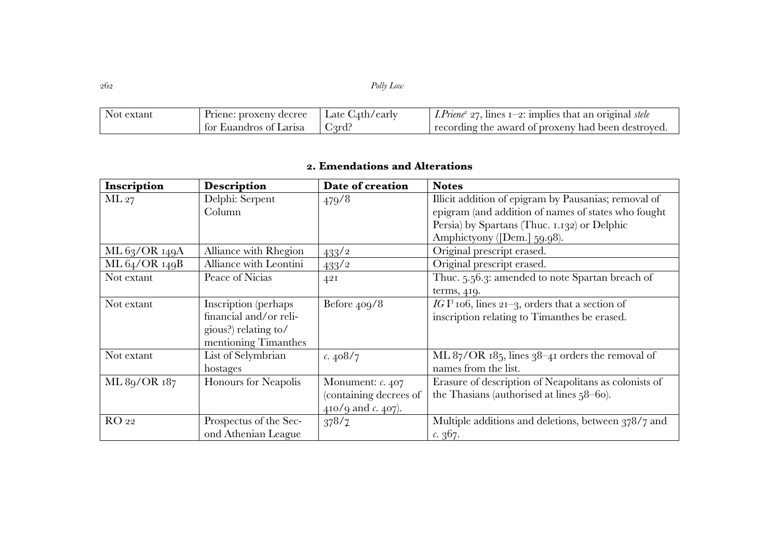| Not extant | Priene: proxeny decree | Late C <sub>4</sub> th/early | <i>I.Priene</i> <sup>2</sup> 27, lines $1-2$ : implies that an original stele |
|------------|------------------------|------------------------------|-------------------------------------------------------------------------------|
|            | for Euandros of Larisa | C <sub>3</sub> rd?           | recording the award of proxeny had been destroyed.                            |

# **2. Emendations and Alterations**

| Inscription   | <b>Description</b>     | Date of creation             | <b>Notes</b>                                                |
|---------------|------------------------|------------------------------|-------------------------------------------------------------|
| ML 27         | Delphi: Serpent        | 479/8                        | Illicit addition of epigram by Pausanias; removal of        |
|               | Column                 |                              | epigram (and addition of names of states who fought         |
|               |                        |                              | Persia) by Spartans (Thuc. 1.132) or Delphic                |
|               |                        |                              | Amphictyony ([Dem.] 59.98).                                 |
| ML 63/OR 149A | Alliance with Rhegion  | $433^{2}$                    | Original prescript erased.                                  |
| ML 64/OR 149B | Alliance with Leontini | $433^{2}$                    | Original prescript erased.                                  |
| Not extant    | Peace of Nicias        | 42I                          | Thuc. 5.56.3: amended to note Spartan breach of             |
|               |                        |                              | terms, 419.                                                 |
| Not extant    | Inscription (perhaps   | Before 409/8                 | IG I <sup>3</sup> 106, lines 21-3, orders that a section of |
|               | financial and/or reli- |                              | inscription relating to Timanthes be erased.                |
|               | gious?) relating to/   |                              |                                                             |
|               | mentioning Timanthes   |                              |                                                             |
| Not extant    | List of Selymbrian     | c.408/7                      | ML $87/OR$ $185$ , lines $38-41$ orders the removal of      |
|               | hostages               |                              | names from the list.                                        |
| ML 89/OR 187  | Honours for Neapolis   | Monument: c. 407             | Erasure of description of Neapolitans as colonists of       |
|               |                        | (containing decrees of       | the Thasians (authorised at lines $58-6$ o).                |
|               |                        | 410/9 and $\epsilon$ . 407). |                                                             |
| RO 22         | Prospectus of the Sec- | 378/7                        | Multiple additions and deletions, between 378/7 and         |
|               | ond Athenian League    |                              | c.367.                                                      |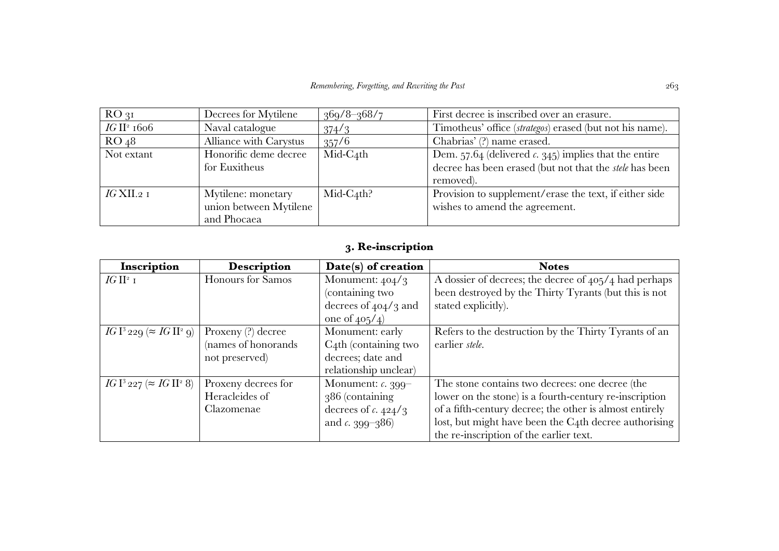| $RO_{31}$               | Decrees for Mytilene                   | $369/8 - 368/7$ | First decree is inscribed over an erasure.                                                                         |
|-------------------------|----------------------------------------|-----------------|--------------------------------------------------------------------------------------------------------------------|
| IG II <sup>2</sup> 1606 | Naval catalogue                        | 374/3           | Timotheus' office (strategos) erased (but not his name).                                                           |
| RO <sub>48</sub>        | Alliance with Carystus                 | 357/6           | Chabrias' (?) name erased.                                                                                         |
| Not extant              | Honorific deme decree<br>for Euxitheus | $Mid-C_4th$     | Dem. $57.64$ (delivered c. 345) implies that the entire<br>decree has been erased (but not that the stele has been |
|                         |                                        |                 | removed).                                                                                                          |
| $IG$ XII.2 1            | Mytilene: monetary                     | $Mid-C_4th?$    | Provision to supplement/erase the text, if either side                                                             |
|                         | union between Mytilene                 |                 | wishes to amend the agreement.                                                                                     |
|                         | and Phocaea                            |                 |                                                                                                                    |

# **3. Re-inscription**

| Inscription                         | <b>Description</b>   | Date(s) of creation       | <b>Notes</b>                                            |
|-------------------------------------|----------------------|---------------------------|---------------------------------------------------------|
| IG II <sup>2</sup> I                | Honours for Samos    | Monument: $404/3$         | A dossier of decrees; the decree of 405/4 had perhaps   |
|                                     |                      | (containing two           | been destroyed by the Thirty Tyrants (but this is not   |
|                                     |                      | decrees of $404/3$ and    | stated explicitly).                                     |
|                                     |                      | one of $405/4$            |                                                         |
| $IG I^3$ 229 ( $\approx IG II^2$ 9) | Proxeny $(?)$ decree | Monument: early           | Refers to the destruction by the Thirty Tyrants of an   |
|                                     | (names of honorands  | $C_4$ th (containing two  | earlier stele.                                          |
|                                     | not preserved)       | decrees; date and         |                                                         |
|                                     |                      | relationship unclear)     |                                                         |
| $IG I^3 227 \approx IG II^2 8$      | Proxeny decrees for  | Monument: $\alpha$ , 399– | The stone contains two decrees: one decree (the         |
|                                     | Heracleides of       | 386 (containing           | lower on the stone) is a fourth-century re-inscription  |
|                                     | Clazomenae           | decrees of c. $424/3$     | of a fifth-century decree; the other is almost entirely |
|                                     |                      | and c. $399 - 386$        | lost, but might have been the C4th decree authorising   |
|                                     |                      |                           | the re-inscription of the earlier text.                 |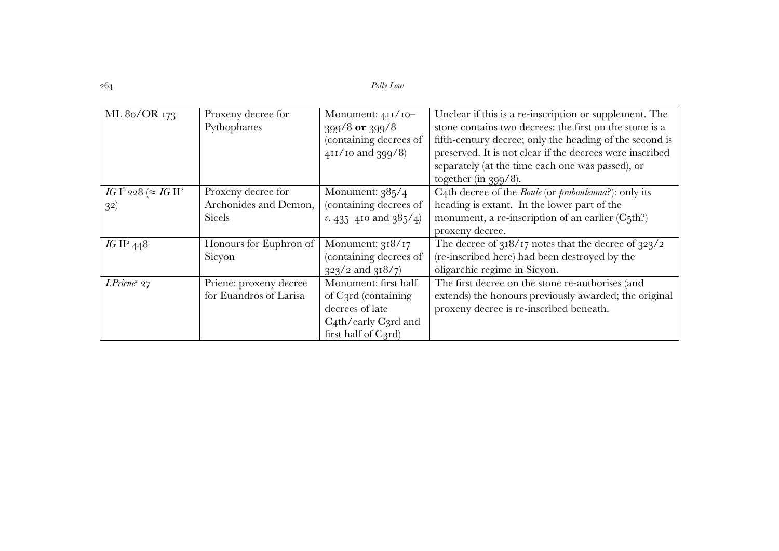| ML 80/OR 173                   | Proxeny decree for     | Monument: $411/10-$      | Unclear if this is a re-inscription or supplement. The              |
|--------------------------------|------------------------|--------------------------|---------------------------------------------------------------------|
|                                | Pythophanes            | $399/8$ or $399/8$       | stone contains two decrees: the first on the stone is a             |
|                                |                        | (containing decrees of   | fifth-century decree; only the heading of the second is             |
|                                |                        | 411/10 and 399/8)        | preserved. It is not clear if the decrees were inscribed            |
|                                |                        |                          | separately (at the time each one was passed), or                    |
|                                |                        |                          | together (in $399/8$ ).                                             |
| $IGI^3$ 228 ( $\approx IGII^2$ | Proxeny decree for     | Monument: $385/4$        | C4th decree of the <i>Boule</i> (or <i>probouleuma</i> ?): only its |
| 32)                            | Archonides and Demon,  | (containing decrees of   | heading is extant. In the lower part of the                         |
|                                | <b>Sicels</b>          | c. 435-410 and $385/4$ ) | monument, a re-inscription of an earlier (C5th?)                    |
|                                |                        |                          | proxeny decree.                                                     |
| IG II <sup>2</sup> 448         | Honours for Euphron of | Monument: $318/17$       | The decree of $318/17$ notes that the decree of $323/2$             |
|                                | Sicyon                 | (containing decrees of   | (re-inscribed here) had been destroyed by the                       |
|                                |                        | $323/2$ and $318/7$      | oligarchic regime in Sicyon.                                        |
| $I. P$ riene <sup>2</sup> 27   | Priene: proxeny decree | Monument: first half     | The first decree on the stone re-authorises (and                    |
|                                | for Euandros of Larisa | of C3rd (containing      | extends) the honours previously awarded; the original               |
|                                |                        | decrees of late          | proxeny decree is re-inscribed beneath.                             |
|                                |                        | $C_4$ th/early C3rd and  |                                                                     |
|                                |                        | first half of C3rd)      |                                                                     |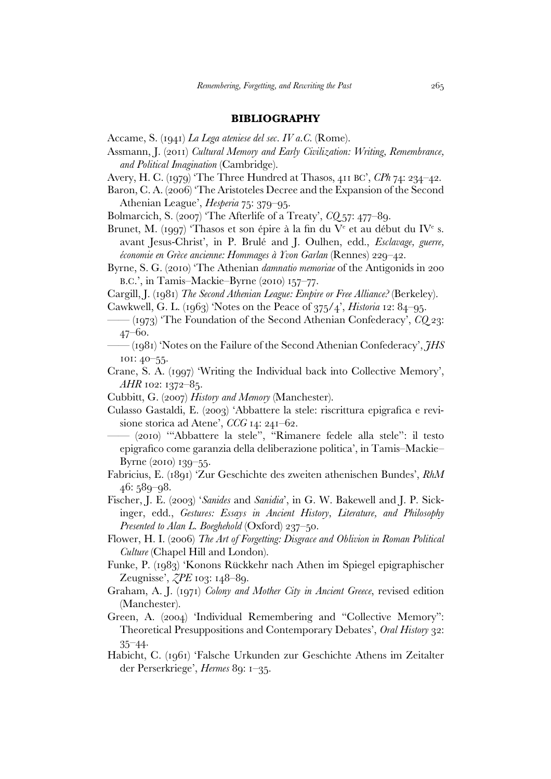### **BIBLIOGRAPHY**

- Accame, S. (1941) *La Lega ateniese del sec. IV a.C.* (Rome).
- Assmann, J. (2011) *Cultural Memory and Early Civilization: Writing, Remembrance, and Political Imagination* (Cambridge).
- Avery, H. C. (1979) 'The Three Hundred at Thasos, 411 BC', *CPh* 74: 234–42.
- Baron, C. A. (2006) 'The Aristoteles Decree and the Expansion of the Second Athenian League', *Hesperia* 75: 379–95.
- Bolmarcich, S. (2007) 'The Afterlife of a Treaty', *CQ* 57: 477–89.
- Brunet, M. (1997) 'Thasos et son épire à la fin du V<sup>e</sup> et au début du IV<sup>e</sup> s. avant Jesus-Christ', in P. Brulé and J. Oulhen, edd., *Esclavage, guerre, économie en Grèce ancienne: Hommages à Yvon Garlan* (Rennes) 229–42.
- Byrne, S. G. (2010) 'The Athenian *damnatio memoriae* of the Antigonids in 200 B.C.', in Tamis–Mackie–Byrne (2010) 157–77.
- Cargill, J. (1981) *The Second Athenian League: Empire or Free Alliance?* (Berkeley).
- Cawkwell, G. L. (1963) 'Notes on the Peace of 375/4', *Historia* 12: 84–95.
- —— (1973) 'The Foundation of the Second Athenian Confederacy', *CQ* 23: 47–60.
- —— (1981) 'Notes on the Failure of the Second Athenian Confederacy', *JHS*  101: 40–55.
- Crane, S. A. (1997) 'Writing the Individual back into Collective Memory', *AHR* 102: 1372–85.
- Cubbitt, G. (2007) *History and Memory* (Manchester).
- Culasso Gastaldi, E. (2003) 'Abbattere la stele: riscrittura epigrafica e revisione storica ad Atene', *CCG* 14: 241–62.
- —— (2010) '"Abbattere la stele", "Rimanere fedele alla stele": il testo epigrafico come garanzia della deliberazione politica', in Tamis–Mackie– Byrne (2010) 139–55.
- Fabricius, E. (1891) 'Zur Geschichte des zweiten athenischen Bundes', *RhM* 46: 589–98.
- Fischer, J. E. (2003) '*Sanides* and *Sanidia*', in G. W. Bakewell and J. P. Sickinger, edd., *Gestures: Essays in Ancient History, Literature, and Philosophy Presented to Alan L. Boeghehold* (Oxford) 237–50.
- Flower, H. I. (2006) *The Art of Forgetting: Disgrace and Oblivion in Roman Political Culture* (Chapel Hill and London).
- Funke, P. (1983) 'Konons Rückkehr nach Athen im Spiegel epigraphischer Zeugnisse', *ZPE* 103: 148–89.
- Graham, A. J. (1971) *Colony and Mother City in Ancient Greece*, revised edition (Manchester).
- Green, A. (2004) 'Individual Remembering and "Collective Memory": Theoretical Presuppositions and Contemporary Debates', *Oral History* 32: 35–44.
- Habicht, C. (1961) 'Falsche Urkunden zur Geschichte Athens im Zeitalter der Perserkriege', *Hermes* 89: 1–35.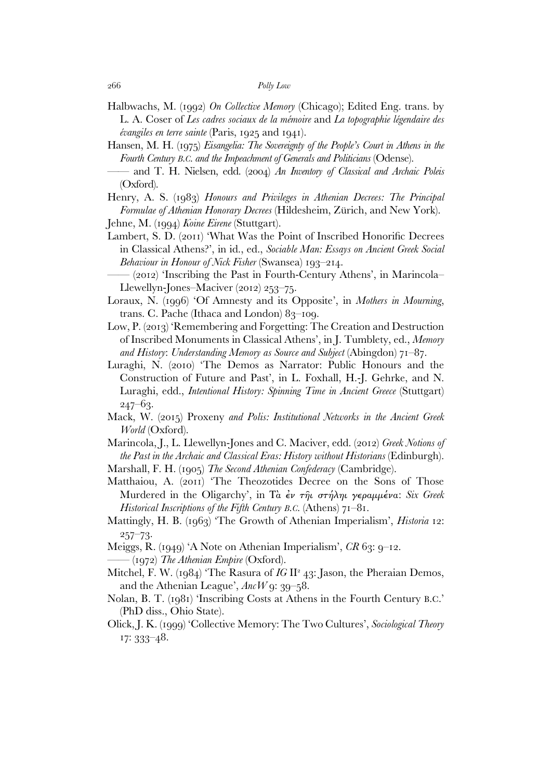- Halbwachs, M. (1992) *On Collective Memory* (Chicago); Edited Eng. trans. by L. A. Coser of *Les cadres sociaux de la mémoire* and *La topographie légendaire des évangiles en terre sainte* (Paris, 1925 and 1941).
- Hansen, M. H. (1975) *Eisangelia: The Sovereignty of the People's Court in Athens in the Fourth Century B.C. and the Impeachment of Generals and Politicians* (Odense).
- and T. H. Nielsen, edd. (2004) An Inventory of Classical and Archaic Poleis (Oxford).
- Henry, A. S. (1983) *Honours and Privileges in Athenian Decrees: The Principal Formulae of Athenian Honorary Decrees* (Hildesheim, Zürich, and New York). Jehne, M. (1994) *Koine Eirene* (Stuttgart).
- Lambert, S. D. (2011) 'What Was the Point of Inscribed Honorific Decrees in Classical Athens?', in id., ed., *Sociable Man: Essays on Ancient Greek Social Behaviour in Honour of Nick Fisher* (Swansea) 193–214.
	- $(2012)$  Tnscribing the Past in Fourth-Century Athens', in Marincola– Llewellyn-Jones–Maciver (2012) 253–75.
- Loraux, N. (1996) 'Of Amnesty and its Opposite', in *Mothers in Mourning*, trans. C. Pache (Ithaca and London) 83–109.
- Low, P. (2013) 'Remembering and Forgetting: The Creation and Destruction of Inscribed Monuments in Classical Athens', in J. Tumblety, ed., *Memory and History*: *Understanding Memory as Source and Subject* (Abingdon) 71–87.
- Luraghi, N. (2010) 'The Demos as Narrator: Public Honours and the Construction of Future and Past', in L. Foxhall, H.-J. Gehrke, and N. Luraghi, edd., *Intentional History: Spinning Time in Ancient Greece* (Stuttgart)  $247 - 63.$
- Mack, W. (2015) Proxeny *and Polis: Institutional Networks in the Ancient Greek World* (Oxford).
- Marincola, J., L. Llewellyn-Jones and C. Maciver, edd. (2012) *Greek Notions of the Past in the Archaic and Classical Eras: History without Historians* (Edinburgh).
- Marshall, F. H. (1905) *The Second Athenian Confederacy* (Cambridge).
- Matthaiou, A. (2011) 'The Theozotides Decree on the Sons of Those Murdered in the Oligarchy', in Τὰ ἐν τῆι στήληι γεραµµένα: *Six Greek Historical Inscriptions of the Fifth Century B.C.* (Athens) 71–81.
- Mattingly, H. B. (1963) 'The Growth of Athenian Imperialism', *Historia* 12: 257–73.
- Meiggs, R. (1949) 'A Note on Athenian Imperialism', *CR* 63: 9–12. —— (1972) *The Athenian Empire* (Oxford).
- Mitchel, F. W. (1984) 'The Rasura of *IG II<sup>2</sup>* 43: Jason, the Pheraian Demos, and the Athenian League', *AncW* 9: 39–58.
- Nolan, B. T. (1981) 'Inscribing Costs at Athens in the Fourth Century B.C.' (PhD diss., Ohio State).
- Olick, J. K. (1999) 'Collective Memory: The Two Cultures', *Sociological Theory* 17: 333–48.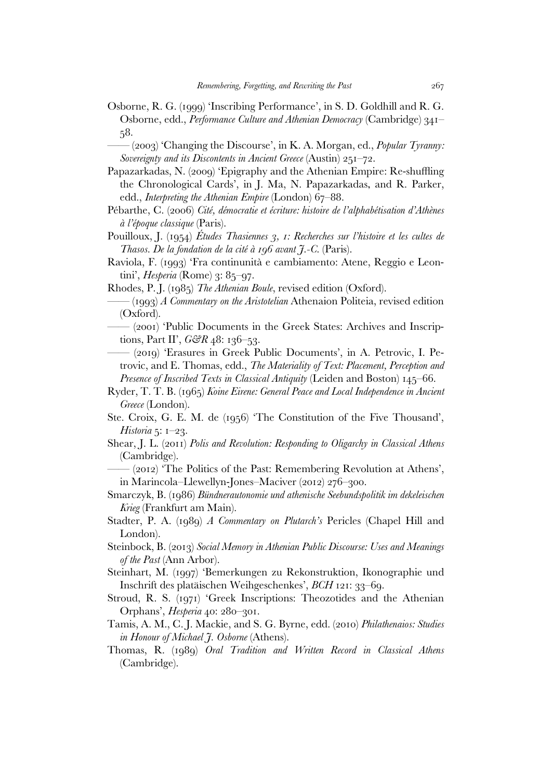- Osborne, R. G. (1999) 'Inscribing Performance', in S. D. Goldhill and R. G. Osborne, edd., *Performance Culture and Athenian Democracy* (Cambridge) 341– 58.
	- —— (2003) 'Changing the Discourse', in K. A. Morgan, ed., *Popular Tyranny: Sovereignty and its Discontents in Ancient Greece* (Austin) 251–72.
- Papazarkadas, N. (2009) 'Epigraphy and the Athenian Empire: Re-shuffling the Chronological Cards', in J. Ma, N. Papazarkadas, and R. Parker, edd., *Interpreting the Athenian Empire* (London) 67–88.
- Pébarthe, C. (2006) *Cité, démocratie et écriture: histoire de l'alphabétisation d'Athènes à l'époque classique* (Paris).
- Pouilloux, J. (1954) *Études Thasiennes 3, 1: Recherches sur l'histoire et les cultes de Thasos. De la fondation de la cité à 196 avant J.-C.* (Paris).
- Raviola, F. (1993) 'Fra continunità e cambiamento: Atene, Reggio e Leontini', *Hesperia* (Rome) 3: 85–97.
- Rhodes, P. J. (1985) *The Athenian Boule*, revised edition (Oxford).
- —— (1993) *A Commentary on the Aristotelian* Athenaion Politeia, revised edition (Oxford).
- $(2001)$  'Public Documents in the Greek States: Archives and Inscriptions, Part II', *G&R* 48: 136–53.
- —— (2019) 'Erasures in Greek Public Documents', in A. Petrovic, I. Petrovic, and E. Thomas, edd., *The Materiality of Text: Placement, Perception and Presence of Inscribed Texts in Classical Antiquity* (Leiden and Boston) 145–66.
- Ryder, T. T. B. (1965) *Koine Eirene: General Peace and Local Independence in Ancient Greece* (London).
- Ste. Croix, G. E. M. de (1956) 'The Constitution of the Five Thousand', *Historia* 5: 1–23.
- Shear, J. L. (2011) *Polis and Revolution: Responding to Oligarchy in Classical Athens* (Cambridge).
- $(2012)$  The Politics of the Past: Remembering Revolution at Athens', in Marincola–Llewellyn-Jones–Maciver (2012) 276–300.
- Smarczyk, B. (1986) *Bündnerautonomie und athenische Seebundspolitik im dekeleischen Krieg* (Frankfurt am Main).
- Stadter, P. A. (1989) *A Commentary on Plutarch's* Pericles (Chapel Hill and London).
- Steinbock, B. (2013) *Social Memory in Athenian Public Discourse: Uses and Meanings of the Past* (Ann Arbor).
- Steinhart, M. (1997) 'Bemerkungen zu Rekonstruktion, Ikonographie und Inschrift des platäischen Weihgeschenkes', *BCH* 121: 33–69.
- Stroud, R. S. (1971) 'Greek Inscriptions: Theozotides and the Athenian Orphans', *Hesperia* 40: 280–301.
- Tamis, A. M., C. J. Mackie, and S. G. Byrne, edd. (2010) *Philathenaios: Studies in Honour of Michael J. Osborne* (Athens).
- Thomas, R. (1989) *Oral Tradition and Written Record in Classical Athens*  (Cambridge).